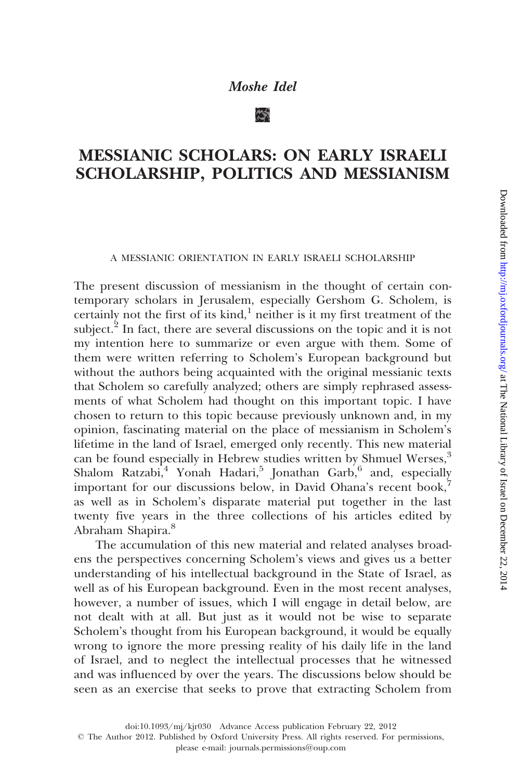## Moshe Idel

# MESSIANIC SCHOLARS: ON EARLY ISRAELI SCHOLARSHIP, POLITICS AND MESSIANISM

## A MESSIANIC ORIENTATION IN EARLY ISRAELI SCHOLARSHIP

The present discussion of messianism in the thought of certain contemporary scholars in Jerusalem, especially Gershom G. Scholem, is certainly not the first of its kind, $\frac{1}{1}$  neither is it my first treatment of the subject.<sup>2</sup> In fact, there are several discussions on the topic and it is not my intention here to summarize or even argue with them. Some of them were written referring to Scholem's European background but without the authors being acquainted with the original messianic texts that Scholem so carefully analyzed; others are simply rephrased assessments of what Scholem had thought on this important topic. I have chosen to return to this topic because previously unknown and, in my opinion, fascinating material on the place of messianism in Scholem's lifetime in the land of Israel, emerged only recently. This new material can be found especially in Hebrew studies written by Shmuel Werses,<sup>3</sup> Shalom Ratzabi,<sup>4</sup> Yonah Hadari,<sup>5</sup> Jonathan Garb,<sup>6</sup> and, especially important for our discussions below, in David Ohana's recent book,<sup>7</sup> as well as in Scholem's disparate material put together in the last twenty five years in the three collections of his articles edited by Abraham Shapira.<sup>8</sup>

The accumulation of this new material and related analyses broadens the perspectives concerning Scholem's views and gives us a better understanding of his intellectual background in the State of Israel, as well as of his European background. Even in the most recent analyses, however, a number of issues, which I will engage in detail below, are not dealt with at all. But just as it would not be wise to separate Scholem's thought from his European background, it would be equally wrong to ignore the more pressing reality of his daily life in the land of Israel, and to neglect the intellectual processes that he witnessed and was influenced by over the years. The discussions below should be seen as an exercise that seeks to prove that extracting Scholem from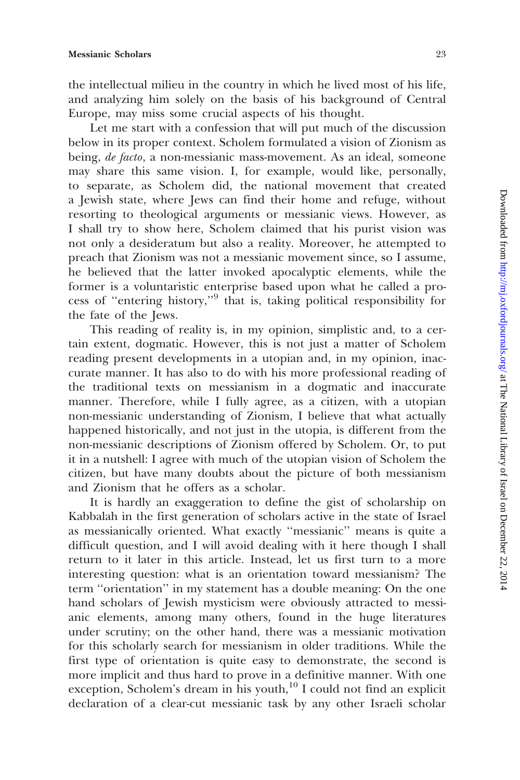#### Messianic Scholars 23

the intellectual milieu in the country in which he lived most of his life, and analyzing him solely on the basis of his background of Central Europe, may miss some crucial aspects of his thought.

Let me start with a confession that will put much of the discussion below in its proper context. Scholem formulated a vision of Zionism as being, de facto, a non-messianic mass-movement. As an ideal, someone may share this same vision. I, for example, would like, personally, to separate, as Scholem did, the national movement that created a Jewish state, where Jews can find their home and refuge, without resorting to theological arguments or messianic views. However, as I shall try to show here, Scholem claimed that his purist vision was not only a desideratum but also a reality. Moreover, he attempted to preach that Zionism was not a messianic movement since, so I assume, he believed that the latter invoked apocalyptic elements, while the former is a voluntaristic enterprise based upon what he called a process of ''entering history,''<sup>9</sup> that is, taking political responsibility for the fate of the Jews.

This reading of reality is, in my opinion, simplistic and, to a certain extent, dogmatic. However, this is not just a matter of Scholem reading present developments in a utopian and, in my opinion, inaccurate manner. It has also to do with his more professional reading of the traditional texts on messianism in a dogmatic and inaccurate manner. Therefore, while I fully agree, as a citizen, with a utopian non-messianic understanding of Zionism, I believe that what actually happened historically, and not just in the utopia, is different from the non-messianic descriptions of Zionism offered by Scholem. Or, to put it in a nutshell: I agree with much of the utopian vision of Scholem the citizen, but have many doubts about the picture of both messianism and Zionism that he offers as a scholar.

It is hardly an exaggeration to define the gist of scholarship on Kabbalah in the first generation of scholars active in the state of Israel as messianically oriented. What exactly ''messianic'' means is quite a difficult question, and I will avoid dealing with it here though I shall return to it later in this article. Instead, let us first turn to a more interesting question: what is an orientation toward messianism? The term ''orientation'' in my statement has a double meaning: On the one hand scholars of Jewish mysticism were obviously attracted to messianic elements, among many others, found in the huge literatures under scrutiny; on the other hand, there was a messianic motivation for this scholarly search for messianism in older traditions. While the first type of orientation is quite easy to demonstrate, the second is more implicit and thus hard to prove in a definitive manner. With one exception, Scholem's dream in his youth,<sup>10</sup> I could not find an explicit declaration of a clear-cut messianic task by any other Israeli scholar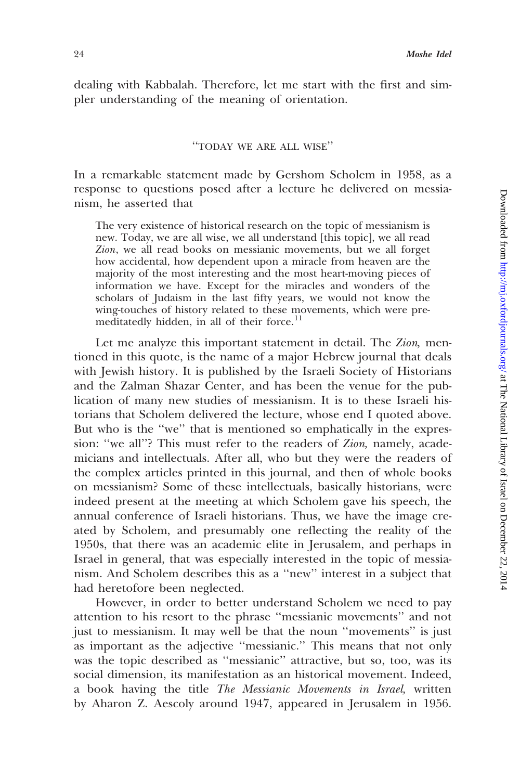dealing with Kabbalah. Therefore, let me start with the first and simpler understanding of the meaning of orientation.

## ''TODAY WE ARE ALL WISE''

In a remarkable statement made by Gershom Scholem in 1958, as a response to questions posed after a lecture he delivered on messianism, he asserted that

The very existence of historical research on the topic of messianism is new. Today, we are all wise, we all understand [this topic], we all read Zion, we all read books on messianic movements, but we all forget how accidental, how dependent upon a miracle from heaven are the majority of the most interesting and the most heart-moving pieces of information we have. Except for the miracles and wonders of the scholars of Judaism in the last fifty years, we would not know the wing-touches of history related to these movements, which were premeditatedly hidden, in all of their force.<sup>11</sup>

Let me analyze this important statement in detail. The *Zion*, mentioned in this quote, is the name of a major Hebrew journal that deals with Jewish history. It is published by the Israeli Society of Historians and the Zalman Shazar Center, and has been the venue for the publication of many new studies of messianism. It is to these Israeli historians that Scholem delivered the lecture, whose end I quoted above. But who is the ''we'' that is mentioned so emphatically in the expression: "we all"? This must refer to the readers of *Zion*, namely, academicians and intellectuals. After all, who but they were the readers of the complex articles printed in this journal, and then of whole books on messianism? Some of these intellectuals, basically historians, were indeed present at the meeting at which Scholem gave his speech, the annual conference of Israeli historians. Thus, we have the image created by Scholem, and presumably one reflecting the reality of the 1950s, that there was an academic elite in Jerusalem, and perhaps in Israel in general, that was especially interested in the topic of messianism. And Scholem describes this as a ''new'' interest in a subject that had heretofore been neglected.

However, in order to better understand Scholem we need to pay attention to his resort to the phrase ''messianic movements'' and not just to messianism. It may well be that the noun ''movements'' is just as important as the adjective ''messianic.'' This means that not only was the topic described as ''messianic'' attractive, but so, too, was its social dimension, its manifestation as an historical movement. Indeed, a book having the title The Messianic Movements in Israel, written by Aharon Z. Aescoly around 1947, appeared in Jerusalem in 1956.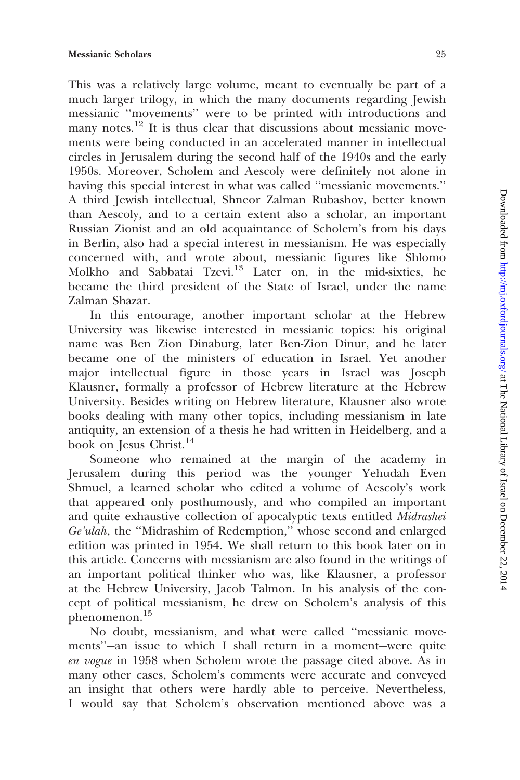This was a relatively large volume, meant to eventually be part of a much larger trilogy, in which the many documents regarding Jewish messianic ''movements'' were to be printed with introductions and many notes.<sup>12</sup> It is thus clear that discussions about messianic movements were being conducted in an accelerated manner in intellectual circles in Jerusalem during the second half of the 1940s and the early 1950s. Moreover, Scholem and Aescoly were definitely not alone in having this special interest in what was called ''messianic movements.'' A third Jewish intellectual, Shneor Zalman Rubashov, better known than Aescoly, and to a certain extent also a scholar, an important Russian Zionist and an old acquaintance of Scholem's from his days in Berlin, also had a special interest in messianism. He was especially concerned with, and wrote about, messianic figures like Shlomo Molkho and Sabbatai Tzevi.<sup>13</sup> Later on, in the mid-sixties, he became the third president of the State of Israel, under the name Zalman Shazar.

In this entourage, another important scholar at the Hebrew University was likewise interested in messianic topics: his original name was Ben Zion Dinaburg, later Ben-Zion Dinur, and he later became one of the ministers of education in Israel. Yet another major intellectual figure in those years in Israel was Joseph Klausner, formally a professor of Hebrew literature at the Hebrew University. Besides writing on Hebrew literature, Klausner also wrote books dealing with many other topics, including messianism in late antiquity, an extension of a thesis he had written in Heidelberg, and a book on Jesus Christ.<sup>14</sup>

Someone who remained at the margin of the academy in Jerusalem during this period was the younger Yehudah Even Shmuel, a learned scholar who edited a volume of Aescoly's work that appeared only posthumously, and who compiled an important and quite exhaustive collection of apocalyptic texts entitled Midrashei Ge'ulah, the ''Midrashim of Redemption,'' whose second and enlarged edition was printed in 1954. We shall return to this book later on in this article. Concerns with messianism are also found in the writings of an important political thinker who was, like Klausner, a professor at the Hebrew University, Jacob Talmon. In his analysis of the concept of political messianism, he drew on Scholem's analysis of this phenomenon.<sup>15</sup>

No doubt, messianism, and what were called ''messianic movements''—an issue to which I shall return in a moment—were quite en vogue in 1958 when Scholem wrote the passage cited above. As in many other cases, Scholem's comments were accurate and conveyed an insight that others were hardly able to perceive. Nevertheless, I would say that Scholem's observation mentioned above was a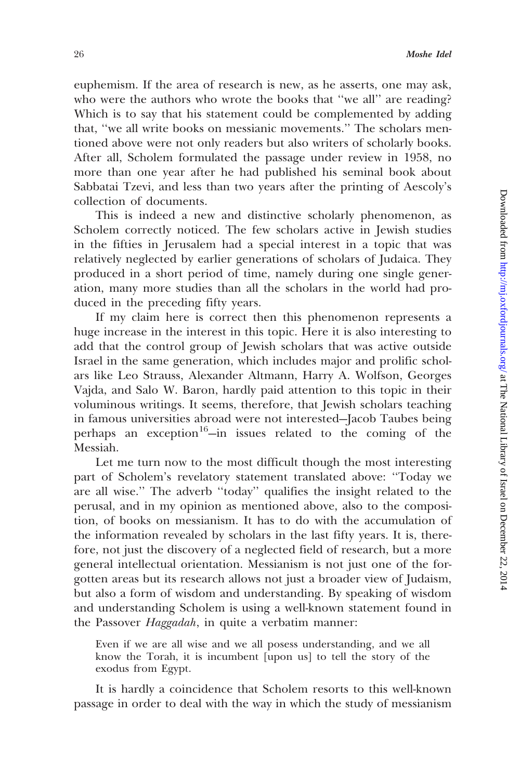euphemism. If the area of research is new, as he asserts, one may ask, who were the authors who wrote the books that "we all" are reading? Which is to say that his statement could be complemented by adding that, ''we all write books on messianic movements.'' The scholars mentioned above were not only readers but also writers of scholarly books. After all, Scholem formulated the passage under review in 1958, no more than one year after he had published his seminal book about Sabbatai Tzevi, and less than two years after the printing of Aescoly's collection of documents.

This is indeed a new and distinctive scholarly phenomenon, as Scholem correctly noticed. The few scholars active in Jewish studies in the fifties in Jerusalem had a special interest in a topic that was relatively neglected by earlier generations of scholars of Judaica. They produced in a short period of time, namely during one single generation, many more studies than all the scholars in the world had produced in the preceding fifty years.

If my claim here is correct then this phenomenon represents a huge increase in the interest in this topic. Here it is also interesting to add that the control group of Jewish scholars that was active outside Israel in the same generation, which includes major and prolific scholars like Leo Strauss, Alexander Altmann, Harry A. Wolfson, Georges Vajda, and Salo W. Baron, hardly paid attention to this topic in their voluminous writings. It seems, therefore, that Jewish scholars teaching in famous universities abroad were not interested—Jacob Taubes being perhaps an exception<sup>16</sup>—in issues related to the coming of the Messiah.

Let me turn now to the most difficult though the most interesting part of Scholem's revelatory statement translated above: ''Today we are all wise.'' The adverb ''today'' qualifies the insight related to the perusal, and in my opinion as mentioned above, also to the composition, of books on messianism. It has to do with the accumulation of the information revealed by scholars in the last fifty years. It is, therefore, not just the discovery of a neglected field of research, but a more general intellectual orientation. Messianism is not just one of the forgotten areas but its research allows not just a broader view of Judaism, but also a form of wisdom and understanding. By speaking of wisdom and understanding Scholem is using a well-known statement found in the Passover Haggadah, in quite a verbatim manner:

Even if we are all wise and we all posess understanding, and we all know the Torah, it is incumbent [upon us] to tell the story of the exodus from Egypt.

It is hardly a coincidence that Scholem resorts to this well-known passage in order to deal with the way in which the study of messianism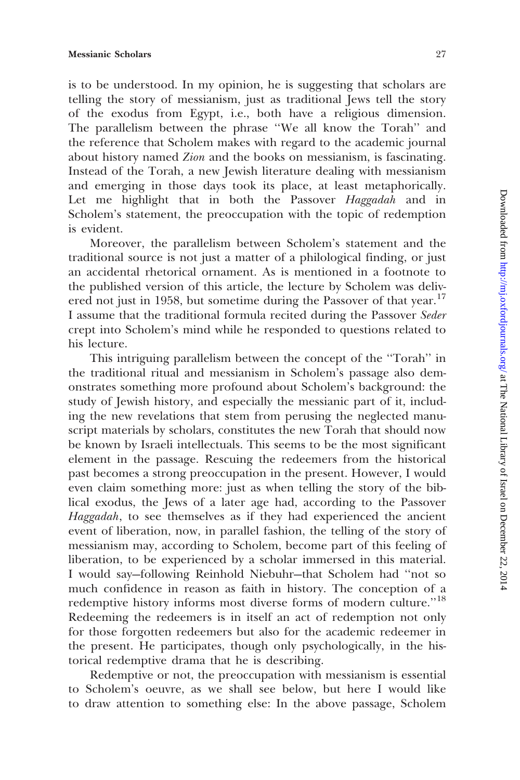#### Messianic Scholars 27

is to be understood. In my opinion, he is suggesting that scholars are telling the story of messianism, just as traditional Jews tell the story of the exodus from Egypt, i.e., both have a religious dimension. The parallelism between the phrase ''We all know the Torah'' and the reference that Scholem makes with regard to the academic journal about history named Zion and the books on messianism, is fascinating. Instead of the Torah, a new Jewish literature dealing with messianism and emerging in those days took its place, at least metaphorically. Let me highlight that in both the Passover Haggadah and in Scholem's statement, the preoccupation with the topic of redemption is evident.

Moreover, the parallelism between Scholem's statement and the traditional source is not just a matter of a philological finding, or just an accidental rhetorical ornament. As is mentioned in a footnote to the published version of this article, the lecture by Scholem was delivered not just in 1958, but sometime during the Passover of that year.<sup>17</sup> I assume that the traditional formula recited during the Passover Seder crept into Scholem's mind while he responded to questions related to his lecture.

This intriguing parallelism between the concept of the ''Torah'' in the traditional ritual and messianism in Scholem's passage also demonstrates something more profound about Scholem's background: the study of Jewish history, and especially the messianic part of it, including the new revelations that stem from perusing the neglected manuscript materials by scholars, constitutes the new Torah that should now be known by Israeli intellectuals. This seems to be the most significant element in the passage. Rescuing the redeemers from the historical past becomes a strong preoccupation in the present. However, I would even claim something more: just as when telling the story of the biblical exodus, the Jews of a later age had, according to the Passover Haggadah, to see themselves as if they had experienced the ancient event of liberation, now, in parallel fashion, the telling of the story of messianism may, according to Scholem, become part of this feeling of liberation, to be experienced by a scholar immersed in this material. I would say—following Reinhold Niebuhr—that Scholem had ''not so much confidence in reason as faith in history. The conception of a redemptive history informs most diverse forms of modern culture.''<sup>18</sup> Redeeming the redeemers is in itself an act of redemption not only for those forgotten redeemers but also for the academic redeemer in the present. He participates, though only psychologically, in the historical redemptive drama that he is describing.

Redemptive or not, the preoccupation with messianism is essential to Scholem's oeuvre, as we shall see below, but here I would like to draw attention to something else: In the above passage, Scholem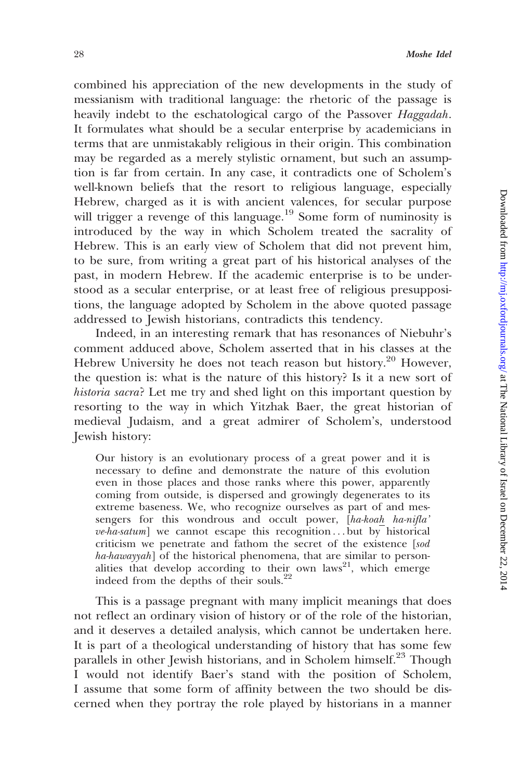combined his appreciation of the new developments in the study of messianism with traditional language: the rhetoric of the passage is heavily indebt to the eschatological cargo of the Passover Haggadah. It formulates what should be a secular enterprise by academicians in terms that are unmistakably religious in their origin. This combination may be regarded as a merely stylistic ornament, but such an assumption is far from certain. In any case, it contradicts one of Scholem's well-known beliefs that the resort to religious language, especially Hebrew, charged as it is with ancient valences, for secular purpose will trigger a revenge of this language.<sup>19</sup> Some form of numinosity is introduced by the way in which Scholem treated the sacrality of Hebrew. This is an early view of Scholem that did not prevent him, to be sure, from writing a great part of his historical analyses of the past, in modern Hebrew. If the academic enterprise is to be understood as a secular enterprise, or at least free of religious presuppositions, the language adopted by Scholem in the above quoted passage addressed to Jewish historians, contradicts this tendency.

Indeed, in an interesting remark that has resonances of Niebuhr's comment adduced above, Scholem asserted that in his classes at the Hebrew University he does not teach reason but history.<sup>20</sup> However, the question is: what is the nature of this history? Is it a new sort of historia sacra? Let me try and shed light on this important question by resorting to the way in which Yitzhak Baer, the great historian of medieval Judaism, and a great admirer of Scholem's, understood Jewish history:

Our history is an evolutionary process of a great power and it is necessary to define and demonstrate the nature of this evolution even in those places and those ranks where this power, apparently coming from outside, is dispersed and growingly degenerates to its extreme baseness. We, who recognize ourselves as part of and messengers for this wondrous and occult power,  $[ha+koah \ ha-nifla']$  $ve\text{-}ha\text{-}satum$ ] we cannot escape this recognition...but by historical criticism we penetrate and fathom the secret of the existence [sod ha-hawayyah] of the historical phenomena, that are similar to personalities that develop according to their own laws<sup>21</sup>, which emerge indeed from the depths of their souls.<sup>22</sup>

This is a passage pregnant with many implicit meanings that does not reflect an ordinary vision of history or of the role of the historian, and it deserves a detailed analysis, which cannot be undertaken here. It is part of a theological understanding of history that has some few parallels in other Jewish historians, and in Scholem himself.<sup>23</sup> Though I would not identify Baer's stand with the position of Scholem, I assume that some form of affinity between the two should be discerned when they portray the role played by historians in a manner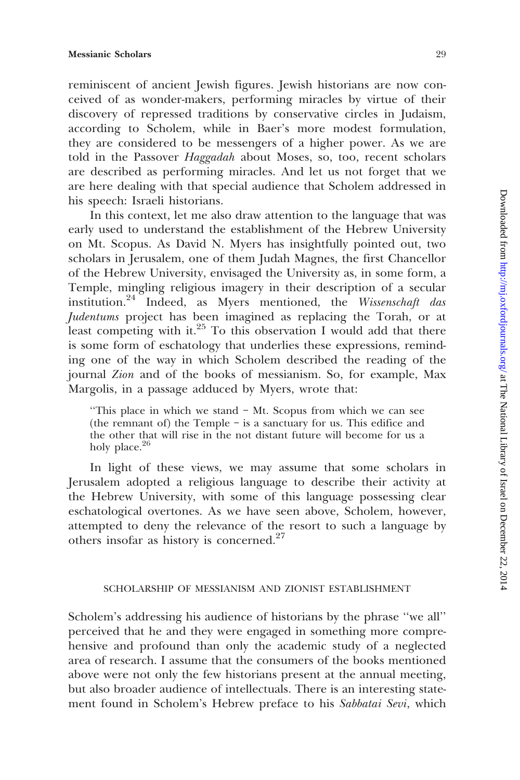reminiscent of ancient Jewish figures. Jewish historians are now conceived of as wonder-makers, performing miracles by virtue of their discovery of repressed traditions by conservative circles in Judaism, according to Scholem, while in Baer's more modest formulation, they are considered to be messengers of a higher power. As we are told in the Passover Haggadah about Moses, so, too, recent scholars are described as performing miracles. And let us not forget that we are here dealing with that special audience that Scholem addressed in his speech: Israeli historians.

In this context, let me also draw attention to the language that was early used to understand the establishment of the Hebrew University on Mt. Scopus. As David N. Myers has insightfully pointed out, two scholars in Jerusalem, one of them Judah Magnes, the first Chancellor of the Hebrew University, envisaged the University as, in some form, a Temple, mingling religious imagery in their description of a secular institution.<sup>24</sup> Indeed, as Myers mentioned, the Wissenschaft das Judentums project has been imagined as replacing the Torah, or at least competing with it. $25$  To this observation I would add that there is some form of eschatology that underlies these expressions, reminding one of the way in which Scholem described the reading of the journal Zion and of the books of messianism. So, for example, Max Margolis, in a passage adduced by Myers, wrote that:

''This place in which we stand – Mt. Scopus from which we can see (the remnant of) the Temple – is a sanctuary for us. This edifice and the other that will rise in the not distant future will become for us a holy place.<sup>26</sup>

In light of these views, we may assume that some scholars in Jerusalem adopted a religious language to describe their activity at the Hebrew University, with some of this language possessing clear eschatological overtones. As we have seen above, Scholem, however, attempted to deny the relevance of the resort to such a language by others insofar as history is concerned.<sup>27</sup>

## SCHOLARSHIP OF MESSIANISM AND ZIONIST ESTABLISHMENT

Scholem's addressing his audience of historians by the phrase ''we all'' perceived that he and they were engaged in something more comprehensive and profound than only the academic study of a neglected area of research. I assume that the consumers of the books mentioned above were not only the few historians present at the annual meeting, but also broader audience of intellectuals. There is an interesting statement found in Scholem's Hebrew preface to his Sabbatai Sevi, which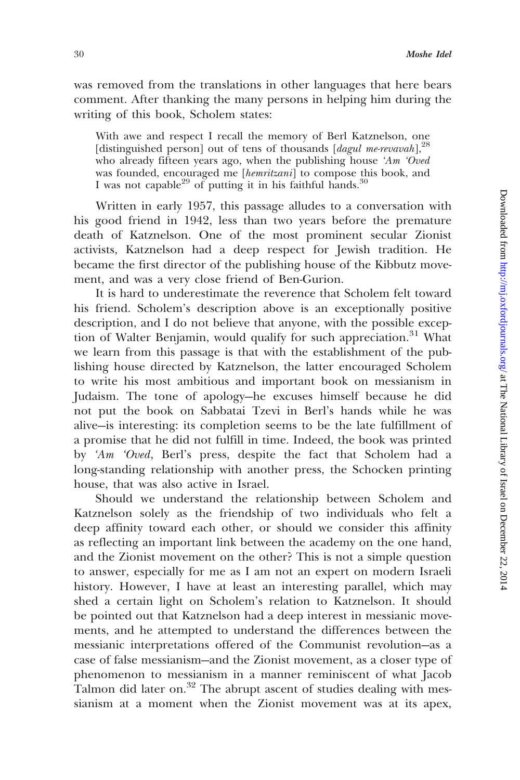was removed from the translations in other languages that here bears comment. After thanking the many persons in helping him during the writing of this book, Scholem states:

With awe and respect I recall the memory of Berl Katznelson, one [distinguished person] out of tens of thousands  $\left[ \frac{dagu}{dt} \right]$  me-revavah],  $28$ who already fifteen years ago, when the publishing house 'Am 'Oved was founded, encouraged me [hemritzani] to compose this book, and I was not capable<sup>29</sup> of putting it in his faithful hands.<sup>30</sup>

Written in early 1957, this passage alludes to a conversation with his good friend in 1942, less than two years before the premature death of Katznelson. One of the most prominent secular Zionist activists, Katznelson had a deep respect for Jewish tradition. He became the first director of the publishing house of the Kibbutz movement, and was a very close friend of Ben-Gurion.

It is hard to underestimate the reverence that Scholem felt toward his friend. Scholem's description above is an exceptionally positive description, and I do not believe that anyone, with the possible exception of Walter Benjamin, would qualify for such appreciation.<sup>31</sup> What we learn from this passage is that with the establishment of the publishing house directed by Katznelson, the latter encouraged Scholem to write his most ambitious and important book on messianism in Judaism. The tone of apology—he excuses himself because he did not put the book on Sabbatai Tzevi in Berl's hands while he was alive—is interesting: its completion seems to be the late fulfillment of a promise that he did not fulfill in time. Indeed, the book was printed by 'Am 'Oved, Berl's press, despite the fact that Scholem had a long-standing relationship with another press, the Schocken printing house, that was also active in Israel.

Should we understand the relationship between Scholem and Katznelson solely as the friendship of two individuals who felt a deep affinity toward each other, or should we consider this affinity as reflecting an important link between the academy on the one hand, and the Zionist movement on the other? This is not a simple question to answer, especially for me as I am not an expert on modern Israeli history. However, I have at least an interesting parallel, which may shed a certain light on Scholem's relation to Katznelson. It should be pointed out that Katznelson had a deep interest in messianic movements, and he attempted to understand the differences between the messianic interpretations offered of the Communist revolution—as a case of false messianism—and the Zionist movement, as a closer type of phenomenon to messianism in a manner reminiscent of what Jacob Talmon did later on.<sup>32</sup> The abrupt ascent of studies dealing with messianism at a moment when the Zionist movement was at its apex,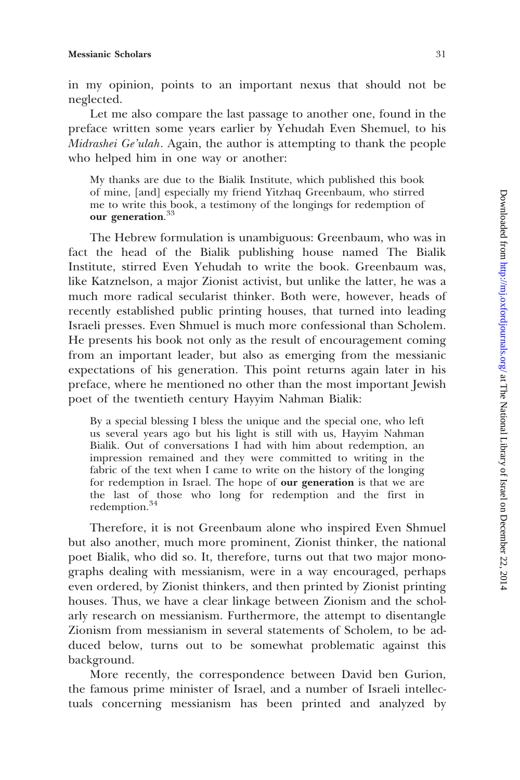in my opinion, points to an important nexus that should not be neglected.

Let me also compare the last passage to another one, found in the preface written some years earlier by Yehudah Even Shemuel, to his Midrashei Ge'ulah. Again, the author is attempting to thank the people who helped him in one way or another:

My thanks are due to the Bialik Institute, which published this book of mine, [and] especially my friend Yitzhaq Greenbaum, who stirred me to write this book, a testimony of the longings for redemption of our generation. 33

The Hebrew formulation is unambiguous: Greenbaum, who was in fact the head of the Bialik publishing house named The Bialik Institute, stirred Even Yehudah to write the book. Greenbaum was, like Katznelson, a major Zionist activist, but unlike the latter, he was a much more radical secularist thinker. Both were, however, heads of recently established public printing houses, that turned into leading Israeli presses. Even Shmuel is much more confessional than Scholem. He presents his book not only as the result of encouragement coming from an important leader, but also as emerging from the messianic expectations of his generation. This point returns again later in his preface, where he mentioned no other than the most important Jewish poet of the twentieth century Hayyim Nahman Bialik:

By a special blessing I bless the unique and the special one, who left us several years ago but his light is still with us, Hayyim Nahman Bialik. Out of conversations I had with him about redemption, an impression remained and they were committed to writing in the fabric of the text when I came to write on the history of the longing for redemption in Israel. The hope of our generation is that we are the last of those who long for redemption and the first in redemption.<sup>34</sup>

Therefore, it is not Greenbaum alone who inspired Even Shmuel but also another, much more prominent, Zionist thinker, the national poet Bialik, who did so. It, therefore, turns out that two major monographs dealing with messianism, were in a way encouraged, perhaps even ordered, by Zionist thinkers, and then printed by Zionist printing houses. Thus, we have a clear linkage between Zionism and the scholarly research on messianism. Furthermore, the attempt to disentangle Zionism from messianism in several statements of Scholem, to be adduced below, turns out to be somewhat problematic against this background.

More recently, the correspondence between David ben Gurion, the famous prime minister of Israel, and a number of Israeli intellectuals concerning messianism has been printed and analyzed by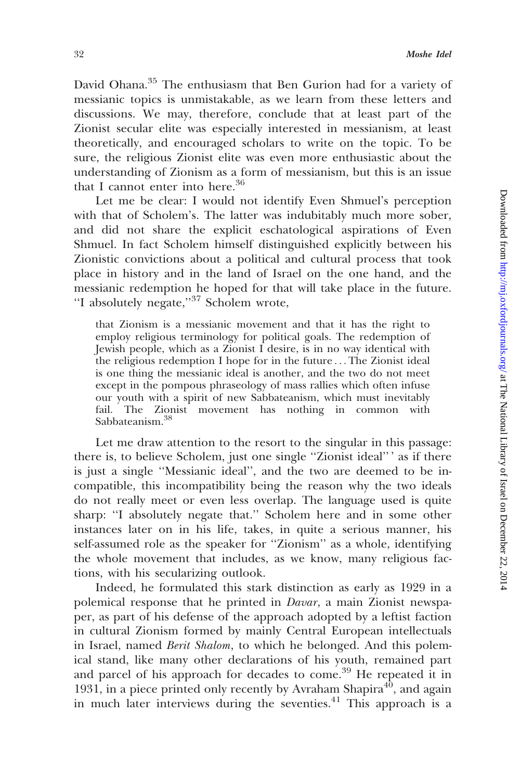David Ohana.<sup>35</sup> The enthusiasm that Ben Gurion had for a variety of messianic topics is unmistakable, as we learn from these letters and discussions. We may, therefore, conclude that at least part of the Zionist secular elite was especially interested in messianism, at least theoretically, and encouraged scholars to write on the topic. To be sure, the religious Zionist elite was even more enthusiastic about the understanding of Zionism as a form of messianism, but this is an issue that I cannot enter into here. $36$ 

Let me be clear: I would not identify Even Shmuel's perception with that of Scholem's. The latter was indubitably much more sober, and did not share the explicit eschatological aspirations of Even Shmuel. In fact Scholem himself distinguished explicitly between his Zionistic convictions about a political and cultural process that took place in history and in the land of Israel on the one hand, and the messianic redemption he hoped for that will take place in the future. ''I absolutely negate,''<sup>37</sup> Scholem wrote,

that Zionism is a messianic movement and that it has the right to employ religious terminology for political goals. The redemption of Jewish people, which as a Zionist I desire, is in no way identical with the religious redemption I hope for in the future ... The Zionist ideal is one thing the messianic ideal is another, and the two do not meet except in the pompous phraseology of mass rallies which often infuse our youth with a spirit of new Sabbateanism, which must inevitably fail. The Zionist movement has nothing in common with Sabbateanism.<sup>38</sup>

Let me draw attention to the resort to the singular in this passage: there is, to believe Scholem, just one single ''Zionist ideal'' ' as if there is just a single ''Messianic ideal'', and the two are deemed to be incompatible, this incompatibility being the reason why the two ideals do not really meet or even less overlap. The language used is quite sharp: ''I absolutely negate that.'' Scholem here and in some other instances later on in his life, takes, in quite a serious manner, his self-assumed role as the speaker for ''Zionism'' as a whole, identifying the whole movement that includes, as we know, many religious factions, with his secularizing outlook.

Indeed, he formulated this stark distinction as early as 1929 in a polemical response that he printed in Davar, a main Zionist newspaper, as part of his defense of the approach adopted by a leftist faction in cultural Zionism formed by mainly Central European intellectuals in Israel, named *Berit Shalom*, to which he belonged. And this polemical stand, like many other declarations of his youth, remained part and parcel of his approach for decades to come.<sup>39</sup> He repeated it in 1931, in a piece printed only recently by Avraham Shapira<sup>40</sup>, and again in much later interviews during the seventies. $41$  This approach is a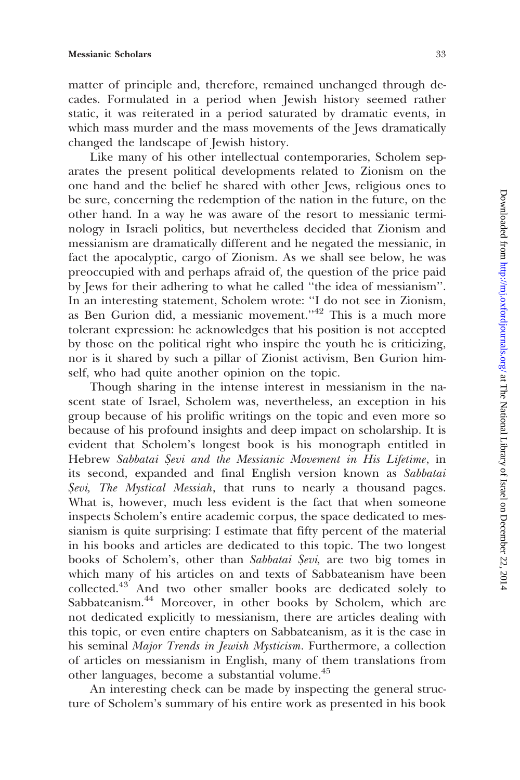#### Messianic Scholars 33

matter of principle and, therefore, remained unchanged through decades. Formulated in a period when Jewish history seemed rather static, it was reiterated in a period saturated by dramatic events, in which mass murder and the mass movements of the Jews dramatically changed the landscape of Jewish history.

Like many of his other intellectual contemporaries, Scholem separates the present political developments related to Zionism on the one hand and the belief he shared with other Jews, religious ones to be sure, concerning the redemption of the nation in the future, on the other hand. In a way he was aware of the resort to messianic terminology in Israeli politics, but nevertheless decided that Zionism and messianism are dramatically different and he negated the messianic, in fact the apocalyptic, cargo of Zionism. As we shall see below, he was preoccupied with and perhaps afraid of, the question of the price paid by Jews for their adhering to what he called ''the idea of messianism''. In an interesting statement, Scholem wrote: ''I do not see in Zionism, as Ben Gurion did, a messianic movement.''<sup>42</sup> This is a much more tolerant expression: he acknowledges that his position is not accepted by those on the political right who inspire the youth he is criticizing, nor is it shared by such a pillar of Zionist activism, Ben Gurion himself, who had quite another opinion on the topic.

Though sharing in the intense interest in messianism in the nascent state of Israel, Scholem was, nevertheless, an exception in his group because of his prolific writings on the topic and even more so because of his profound insights and deep impact on scholarship. It is evident that Scholem's longest book is his monograph entitled in Hebrew Sabbatai Sevi and the Messianic Movement in His Lifetime, in its second, expanded and final English version known as Sabbatai Sevi, The Mystical Messiah, that runs to nearly a thousand pages. What is, however, much less evident is the fact that when someone inspects Scholem's entire academic corpus, the space dedicated to messianism is quite surprising: I estimate that fifty percent of the material in his books and articles are dedicated to this topic. The two longest books of Scholem's, other than Sabbatai Sevi, are two big tomes in which many of his articles on and texts of Sabbateanism have been collected.<sup>43</sup> And two other smaller books are dedicated solely to Sabbateanism.<sup>44</sup> Moreover, in other books by Scholem, which are not dedicated explicitly to messianism, there are articles dealing with this topic, or even entire chapters on Sabbateanism, as it is the case in his seminal Major Trends in Jewish Mysticism. Furthermore, a collection of articles on messianism in English, many of them translations from other languages, become a substantial volume.<sup>45</sup>

An interesting check can be made by inspecting the general structure of Scholem's summary of his entire work as presented in his book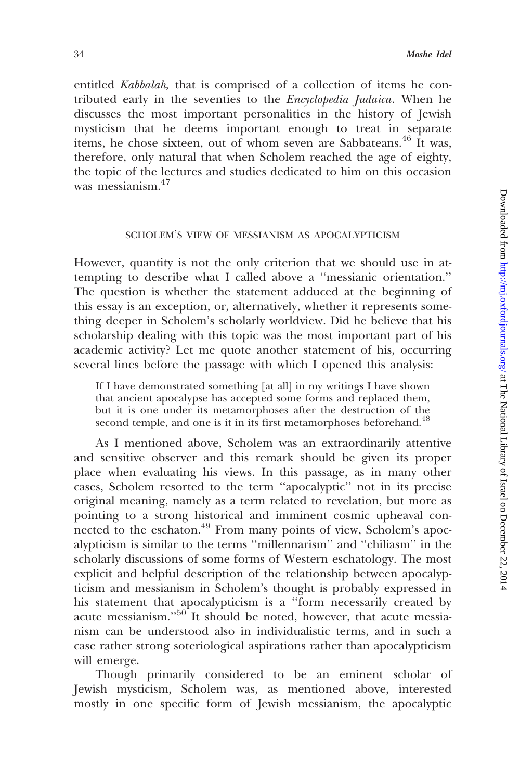entitled Kabbalah, that is comprised of a collection of items he contributed early in the seventies to the Encyclopedia Judaica. When he discusses the most important personalities in the history of Jewish mysticism that he deems important enough to treat in separate items, he chose sixteen, out of whom seven are Sabbateans.<sup>46</sup> It was, therefore, only natural that when Scholem reached the age of eighty, the topic of the lectures and studies dedicated to him on this occasion was messianism.<sup>47</sup>

## SCHOLEM'S VIEW OF MESSIANISM AS APOCALYPTICISM

However, quantity is not the only criterion that we should use in attempting to describe what I called above a ''messianic orientation.'' The question is whether the statement adduced at the beginning of this essay is an exception, or, alternatively, whether it represents something deeper in Scholem's scholarly worldview. Did he believe that his scholarship dealing with this topic was the most important part of his academic activity? Let me quote another statement of his, occurring several lines before the passage with which I opened this analysis:

If I have demonstrated something [at all] in my writings I have shown that ancient apocalypse has accepted some forms and replaced them, but it is one under its metamorphoses after the destruction of the second temple, and one is it in its first metamorphoses beforehand.<sup>48</sup>

As I mentioned above, Scholem was an extraordinarily attentive and sensitive observer and this remark should be given its proper place when evaluating his views. In this passage, as in many other cases, Scholem resorted to the term ''apocalyptic'' not in its precise original meaning, namely as a term related to revelation, but more as pointing to a strong historical and imminent cosmic upheaval connected to the eschaton.<sup>49</sup> From many points of view, Scholem's apocalypticism is similar to the terms ''millennarism'' and ''chiliasm'' in the scholarly discussions of some forms of Western eschatology. The most explicit and helpful description of the relationship between apocalypticism and messianism in Scholem's thought is probably expressed in his statement that apocalypticism is a ''form necessarily created by acute messianism." $50$  It should be noted, however, that acute messianism can be understood also in individualistic terms, and in such a case rather strong soteriological aspirations rather than apocalypticism will emerge.

Though primarily considered to be an eminent scholar of Jewish mysticism, Scholem was, as mentioned above, interested mostly in one specific form of Jewish messianism, the apocalyptic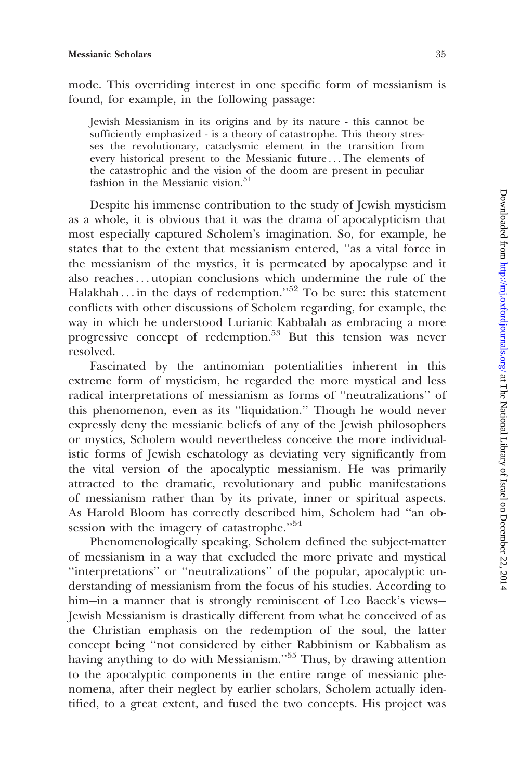mode. This overriding interest in one specific form of messianism is found, for example, in the following passage:

Jewish Messianism in its origins and by its nature - this cannot be sufficiently emphasized - is a theory of catastrophe. This theory stresses the revolutionary, cataclysmic element in the transition from every historical present to the Messianic future ...The elements of the catastrophic and the vision of the doom are present in peculiar fashion in the Messianic vision.<sup>51</sup>

Despite his immense contribution to the study of Jewish mysticism as a whole, it is obvious that it was the drama of apocalypticism that most especially captured Scholem's imagination. So, for example, he states that to the extent that messianism entered, ''as a vital force in the messianism of the mystics, it is permeated by apocalypse and it also reaches... utopian conclusions which undermine the rule of the Halakhah ... in the days of redemption."<sup>52</sup> To be sure: this statement conflicts with other discussions of Scholem regarding, for example, the way in which he understood Lurianic Kabbalah as embracing a more progressive concept of redemption.<sup>53</sup> But this tension was never resolved.

Fascinated by the antinomian potentialities inherent in this extreme form of mysticism, he regarded the more mystical and less radical interpretations of messianism as forms of ''neutralizations'' of this phenomenon, even as its ''liquidation.'' Though he would never expressly deny the messianic beliefs of any of the Jewish philosophers or mystics, Scholem would nevertheless conceive the more individualistic forms of Jewish eschatology as deviating very significantly from the vital version of the apocalyptic messianism. He was primarily attracted to the dramatic, revolutionary and public manifestations of messianism rather than by its private, inner or spiritual aspects. As Harold Bloom has correctly described him, Scholem had ''an obsession with the imagery of catastrophe."<sup>54</sup>

Phenomenologically speaking, Scholem defined the subject-matter of messianism in a way that excluded the more private and mystical ''interpretations'' or ''neutralizations'' of the popular, apocalyptic understanding of messianism from the focus of his studies. According to him—in a manner that is strongly reminiscent of Leo Baeck's views— Jewish Messianism is drastically different from what he conceived of as the Christian emphasis on the redemption of the soul, the latter concept being ''not considered by either Rabbinism or Kabbalism as having anything to do with Messianism."<sup>55</sup> Thus, by drawing attention to the apocalyptic components in the entire range of messianic phenomena, after their neglect by earlier scholars, Scholem actually identified, to a great extent, and fused the two concepts. His project was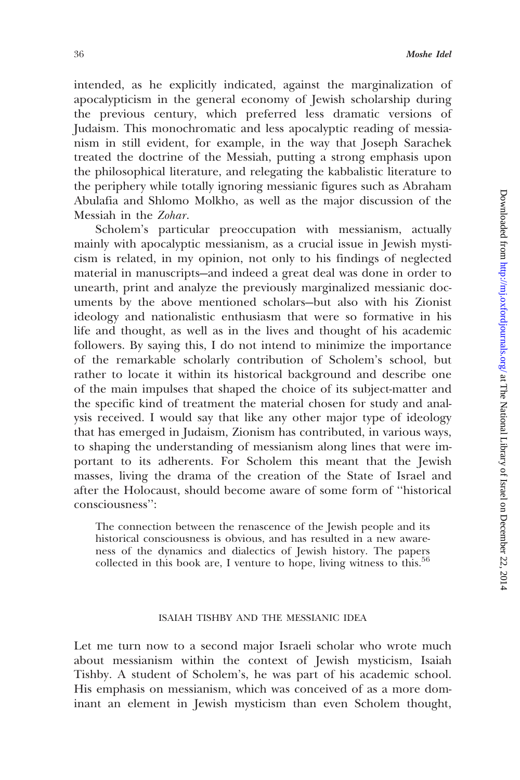intended, as he explicitly indicated, against the marginalization of apocalypticism in the general economy of Jewish scholarship during the previous century, which preferred less dramatic versions of Judaism. This monochromatic and less apocalyptic reading of messianism in still evident, for example, in the way that Joseph Sarachek treated the doctrine of the Messiah, putting a strong emphasis upon the philosophical literature, and relegating the kabbalistic literature to the periphery while totally ignoring messianic figures such as Abraham Abulafia and Shlomo Molkho, as well as the major discussion of the Messiah in the Zohar.

Scholem's particular preoccupation with messianism, actually mainly with apocalyptic messianism, as a crucial issue in Jewish mysticism is related, in my opinion, not only to his findings of neglected material in manuscripts—and indeed a great deal was done in order to unearth, print and analyze the previously marginalized messianic documents by the above mentioned scholars—but also with his Zionist ideology and nationalistic enthusiasm that were so formative in his life and thought, as well as in the lives and thought of his academic followers. By saying this, I do not intend to minimize the importance of the remarkable scholarly contribution of Scholem's school, but rather to locate it within its historical background and describe one of the main impulses that shaped the choice of its subject-matter and the specific kind of treatment the material chosen for study and analysis received. I would say that like any other major type of ideology that has emerged in Judaism, Zionism has contributed, in various ways, to shaping the understanding of messianism along lines that were important to its adherents. For Scholem this meant that the Jewish masses, living the drama of the creation of the State of Israel and after the Holocaust, should become aware of some form of ''historical consciousness'':

The connection between the renascence of the Jewish people and its historical consciousness is obvious, and has resulted in a new awareness of the dynamics and dialectics of Jewish history. The papers collected in this book are, I venture to hope, living witness to this.<sup>56</sup>

## ISAIAH TISHBY AND THE MESSIANIC IDEA

Let me turn now to a second major Israeli scholar who wrote much about messianism within the context of Jewish mysticism, Isaiah Tishby. A student of Scholem's, he was part of his academic school. His emphasis on messianism, which was conceived of as a more dominant an element in Jewish mysticism than even Scholem thought,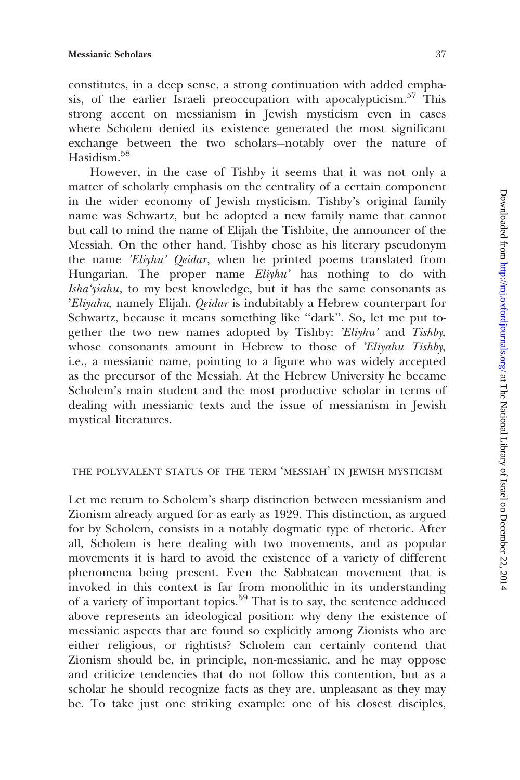constitutes, in a deep sense, a strong continuation with added emphasis, of the earlier Israeli preoccupation with apocalypticism.<sup>57</sup> This strong accent on messianism in Jewish mysticism even in cases where Scholem denied its existence generated the most significant exchange between the two scholars—notably over the nature of Hasidism.<sup>58</sup>

However, in the case of Tishby it seems that it was not only a matter of scholarly emphasis on the centrality of a certain component in the wider economy of Jewish mysticism. Tishby's original family name was Schwartz, but he adopted a new family name that cannot but call to mind the name of Elijah the Tishbite, the announcer of the Messiah. On the other hand, Tishby chose as his literary pseudonym the name 'Eliyhu' Qeidar, when he printed poems translated from Hungarian. The proper name *Eliyhu'* has nothing to do with Isha'yiahu, to my best knowledge, but it has the same consonants as 'Eliyahu, namely Elijah. Qeidar is indubitably a Hebrew counterpart for Schwartz, because it means something like ''dark''. So, let me put together the two new names adopted by Tishby: 'Eliyhu' and Tishby, whose consonants amount in Hebrew to those of 'Eliyahu Tishby, i.e., a messianic name, pointing to a figure who was widely accepted as the precursor of the Messiah. At the Hebrew University he became Scholem's main student and the most productive scholar in terms of dealing with messianic texts and the issue of messianism in Jewish mystical literatures.

## THE POLYVALENT STATUS OF THE TERM 'MESSIAH' IN JEWISH MYSTICISM

Let me return to Scholem's sharp distinction between messianism and Zionism already argued for as early as 1929. This distinction, as argued for by Scholem, consists in a notably dogmatic type of rhetoric. After all, Scholem is here dealing with two movements, and as popular movements it is hard to avoid the existence of a variety of different phenomena being present. Even the Sabbatean movement that is invoked in this context is far from monolithic in its understanding of a variety of important topics.<sup>59</sup> That is to say, the sentence adduced above represents an ideological position: why deny the existence of messianic aspects that are found so explicitly among Zionists who are either religious, or rightists? Scholem can certainly contend that Zionism should be, in principle, non-messianic, and he may oppose and criticize tendencies that do not follow this contention, but as a scholar he should recognize facts as they are, unpleasant as they may be. To take just one striking example: one of his closest disciples,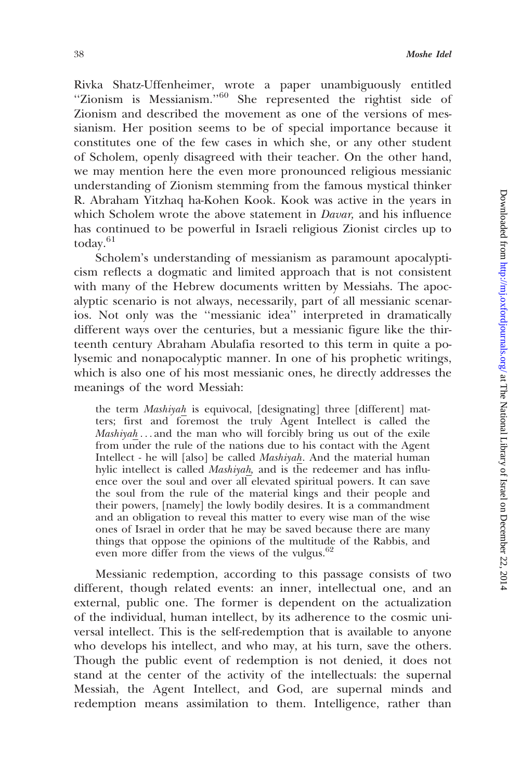Rivka Shatz-Uffenheimer, wrote a paper unambiguously entitled ''Zionism is Messianism.''<sup>60</sup> She represented the rightist side of Zionism and described the movement as one of the versions of messianism. Her position seems to be of special importance because it constitutes one of the few cases in which she, or any other student of Scholem, openly disagreed with their teacher. On the other hand, we may mention here the even more pronounced religious messianic understanding of Zionism stemming from the famous mystical thinker R. Abraham Yitzhaq ha-Kohen Kook. Kook was active in the years in which Scholem wrote the above statement in *Davar*, and his influence has continued to be powerful in Israeli religious Zionist circles up to today. $61$ 

Scholem's understanding of messianism as paramount apocalypticism reflects a dogmatic and limited approach that is not consistent with many of the Hebrew documents written by Messiahs. The apocalyptic scenario is not always, necessarily, part of all messianic scenarios. Not only was the ''messianic idea'' interpreted in dramatically different ways over the centuries, but a messianic figure like the thirteenth century Abraham Abulafia resorted to this term in quite a polysemic and nonapocalyptic manner. In one of his prophetic writings, which is also one of his most messianic ones, he directly addresses the meanings of the word Messiah:

the term Mashiyah is equivocal, [designating] three [different] matters; first and foremost the truly Agent Intellect is called the  $Mashiyah$ ... and the man who will forcibly bring us out of the exile from under the rule of the nations due to his contact with the Agent Intellect - he will [also] be called Mashiyah. And the material human hylic intellect is called Mashiyah, and is the redeemer and has influence over the soul and over all elevated spiritual powers. It can save the soul from the rule of the material kings and their people and their powers, [namely] the lowly bodily desires. It is a commandment and an obligation to reveal this matter to every wise man of the wise ones of Israel in order that he may be saved because there are many things that oppose the opinions of the multitude of the Rabbis, and even more differ from the views of the vulgus.<sup>62</sup>

Messianic redemption, according to this passage consists of two different, though related events: an inner, intellectual one, and an external, public one. The former is dependent on the actualization of the individual, human intellect, by its adherence to the cosmic universal intellect. This is the self-redemption that is available to anyone who develops his intellect, and who may, at his turn, save the others. Though the public event of redemption is not denied, it does not stand at the center of the activity of the intellectuals: the supernal Messiah, the Agent Intellect, and God, are supernal minds and redemption means assimilation to them. Intelligence, rather than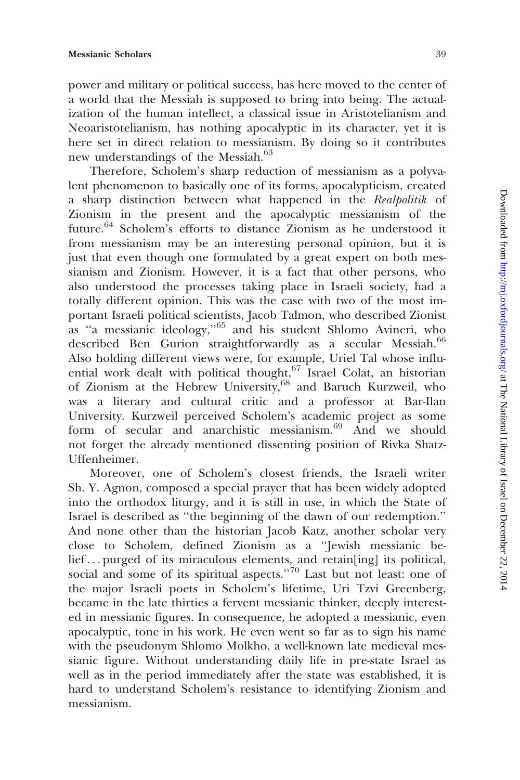power and military or political success, has here moved to the center of a world that the Messiah is supposed to bring into being. The actualization of the human intellect, a classical issue in Aristotelianism and Neoaristotelianism, has nothing apocalyptic in its character, yet it is here set in direct relation to messianism. By doing so it contributes new understandings of the Messiah.<sup>63</sup>

Therefore, Scholem's sharp reduction of messianism as a polyvalent phenomenon to basically one of its forms, apocalypticism, created a sharp distinction between what happened in the Realpolitik of Zionism in the present and the apocalyptic messianism of the future.<sup>64</sup> Scholem's efforts to distance Zionism as he understood it from messianism may be an interesting personal opinion, but it is just that even though one formulated by a great expert on both messianism and Zionism. However, it is a fact that other persons, who also understood the processes taking place in Israeli society, had a totally different opinion. This was the case with two of the most important Israeli political scientists, Jacob Talmon, who described Zionist as ''a messianic ideology,''<sup>65</sup> and his student Shlomo Avineri, who described Ben Gurion straightforwardly as a secular Messiah.<sup>66</sup> Also holding different views were, for example, Uriel Tal whose influential work dealt with political thought,<sup>67</sup> Israel Colat, an historian of Zionism at the Hebrew University,<sup>68</sup> and Baruch Kurzweil, who was a literary and cultural critic and a professor at Bar-Ilan University. Kurzweil perceived Scholem's academic project as some form of secular and anarchistic messianism.<sup>69</sup> And we should not forget the already mentioned dissenting position of Rivka Shatz-Uffenheimer.

Moreover, one of Scholem's closest friends, the Israeli writer Sh. Y. Agnon, composed a special prayer that has been widely adopted into the orthodox liturgy, and it is still in use, in which the State of Israel is described as ''the beginning of the dawn of our redemption.'' And none other than the historian Jacob Katz, another scholar very close to Scholem, defined Zionism as a ''Jewish messianic belief... purged of its miraculous elements, and retain[ing] its political, social and some of its spiritual aspects."<sup>70</sup> Last but not least: one of the major Israeli poets in Scholem's lifetime, Uri Tzvi Greenberg, became in the late thirties a fervent messianic thinker, deeply interested in messianic figures. In consequence, he adopted a messianic, even apocalyptic, tone in his work. He even went so far as to sign his name with the pseudonym Shlomo Molkho, a well-known late medieval messianic figure. Without understanding daily life in pre-state Israel as well as in the period immediately after the state was established, it is hard to understand Scholem's resistance to identifying Zionism and messianism.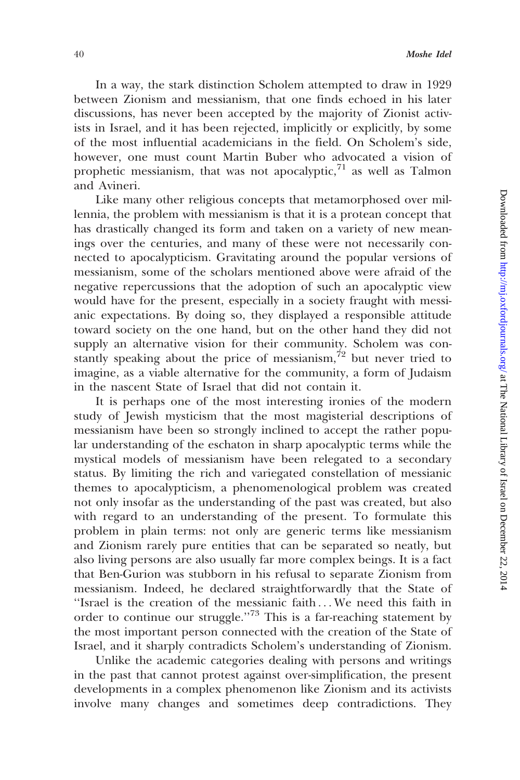In a way, the stark distinction Scholem attempted to draw in 1929 between Zionism and messianism, that one finds echoed in his later discussions, has never been accepted by the majority of Zionist activists in Israel, and it has been rejected, implicitly or explicitly, by some of the most influential academicians in the field. On Scholem's side, however, one must count Martin Buber who advocated a vision of prophetic messianism, that was not apocalyptic, $71$  as well as Talmon and Avineri.

Like many other religious concepts that metamorphosed over millennia, the problem with messianism is that it is a protean concept that has drastically changed its form and taken on a variety of new meanings over the centuries, and many of these were not necessarily connected to apocalypticism. Gravitating around the popular versions of messianism, some of the scholars mentioned above were afraid of the negative repercussions that the adoption of such an apocalyptic view would have for the present, especially in a society fraught with messianic expectations. By doing so, they displayed a responsible attitude toward society on the one hand, but on the other hand they did not supply an alternative vision for their community. Scholem was constantly speaking about the price of messianism,  $\frac{72}{7}$  but never tried to imagine, as a viable alternative for the community, a form of Judaism in the nascent State of Israel that did not contain it.

It is perhaps one of the most interesting ironies of the modern study of Jewish mysticism that the most magisterial descriptions of messianism have been so strongly inclined to accept the rather popular understanding of the eschaton in sharp apocalyptic terms while the mystical models of messianism have been relegated to a secondary status. By limiting the rich and variegated constellation of messianic themes to apocalypticism, a phenomenological problem was created not only insofar as the understanding of the past was created, but also with regard to an understanding of the present. To formulate this problem in plain terms: not only are generic terms like messianism and Zionism rarely pure entities that can be separated so neatly, but also living persons are also usually far more complex beings. It is a fact that Ben-Gurion was stubborn in his refusal to separate Zionism from messianism. Indeed, he declared straightforwardly that the State of ''Israel is the creation of the messianic faith ... We need this faith in order to continue our struggle."<sup>73</sup> This is a far-reaching statement by the most important person connected with the creation of the State of Israel, and it sharply contradicts Scholem's understanding of Zionism.

Unlike the academic categories dealing with persons and writings in the past that cannot protest against over-simplification, the present developments in a complex phenomenon like Zionism and its activists involve many changes and sometimes deep contradictions. They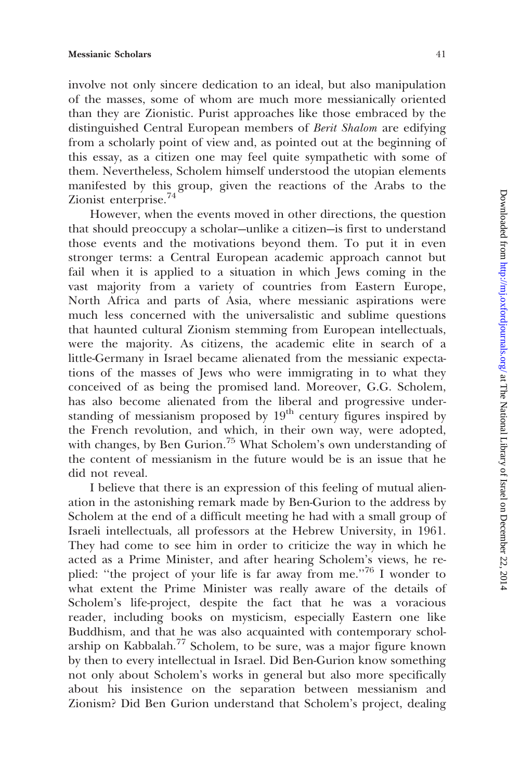involve not only sincere dedication to an ideal, but also manipulation of the masses, some of whom are much more messianically oriented than they are Zionistic. Purist approaches like those embraced by the distinguished Central European members of Berit Shalom are edifying from a scholarly point of view and, as pointed out at the beginning of this essay, as a citizen one may feel quite sympathetic with some of them. Nevertheless, Scholem himself understood the utopian elements manifested by this group, given the reactions of the Arabs to the Zionist enterprise.<sup>74</sup>

However, when the events moved in other directions, the question that should preoccupy a scholar—unlike a citizen—is first to understand those events and the motivations beyond them. To put it in even stronger terms: a Central European academic approach cannot but fail when it is applied to a situation in which Jews coming in the vast majority from a variety of countries from Eastern Europe, North Africa and parts of Asia, where messianic aspirations were much less concerned with the universalistic and sublime questions that haunted cultural Zionism stemming from European intellectuals, were the majority. As citizens, the academic elite in search of a little-Germany in Israel became alienated from the messianic expectations of the masses of Jews who were immigrating in to what they conceived of as being the promised land. Moreover, G.G. Scholem, has also become alienated from the liberal and progressive understanding of messianism proposed by  $19<sup>th</sup>$  century figures inspired by the French revolution, and which, in their own way, were adopted, with changes, by Ben Gurion.<sup>75</sup> What Scholem's own understanding of the content of messianism in the future would be is an issue that he did not reveal.

I believe that there is an expression of this feeling of mutual alienation in the astonishing remark made by Ben-Gurion to the address by Scholem at the end of a difficult meeting he had with a small group of Israeli intellectuals, all professors at the Hebrew University, in 1961. They had come to see him in order to criticize the way in which he acted as a Prime Minister, and after hearing Scholem's views, he replied: ''the project of your life is far away from me.''<sup>76</sup> I wonder to what extent the Prime Minister was really aware of the details of Scholem's life-project, despite the fact that he was a voracious reader, including books on mysticism, especially Eastern one like Buddhism, and that he was also acquainted with contemporary scholarship on Kabbalah.<sup>77</sup> Scholem, to be sure, was a major figure known by then to every intellectual in Israel. Did Ben-Gurion know something not only about Scholem's works in general but also more specifically about his insistence on the separation between messianism and Zionism? Did Ben Gurion understand that Scholem's project, dealing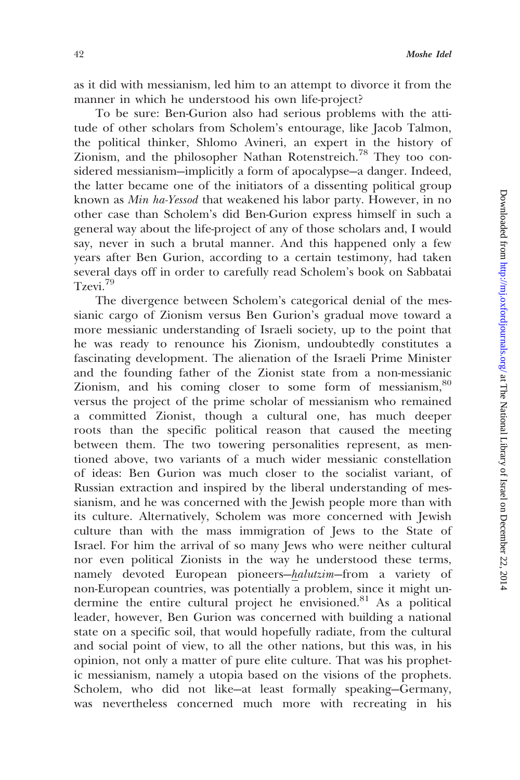as it did with messianism, led him to an attempt to divorce it from the manner in which he understood his own life-project?

To be sure: Ben-Gurion also had serious problems with the attitude of other scholars from Scholem's entourage, like Jacob Talmon, the political thinker, Shlomo Avineri, an expert in the history of Zionism, and the philosopher Nathan Rotenstreich.<sup>78</sup> They too considered messianism—implicitly a form of apocalypse—a danger. Indeed, the latter became one of the initiators of a dissenting political group known as Min ha-Yessod that weakened his labor party. However, in no other case than Scholem's did Ben-Gurion express himself in such a general way about the life-project of any of those scholars and, I would say, never in such a brutal manner. And this happened only a few years after Ben Gurion, according to a certain testimony, had taken several days off in order to carefully read Scholem's book on Sabbatai Tzevi.<sup>79</sup>

The divergence between Scholem's categorical denial of the messianic cargo of Zionism versus Ben Gurion's gradual move toward a more messianic understanding of Israeli society, up to the point that he was ready to renounce his Zionism, undoubtedly constitutes a fascinating development. The alienation of the Israeli Prime Minister and the founding father of the Zionist state from a non-messianic Zionism, and his coming closer to some form of messianism,  $80$ versus the project of the prime scholar of messianism who remained a committed Zionist, though a cultural one, has much deeper roots than the specific political reason that caused the meeting between them. The two towering personalities represent, as mentioned above, two variants of a much wider messianic constellation of ideas: Ben Gurion was much closer to the socialist variant, of Russian extraction and inspired by the liberal understanding of messianism, and he was concerned with the Jewish people more than with its culture. Alternatively, Scholem was more concerned with Jewish culture than with the mass immigration of Jews to the State of Israel. For him the arrival of so many Jews who were neither cultural nor even political Zionists in the way he understood these terms, namely devoted European pioneers—halutzim—from a variety of non-European countries, was potentially a problem, since it might undermine the entire cultural project he envisioned.<sup>81</sup> As a political leader, however, Ben Gurion was concerned with building a national state on a specific soil, that would hopefully radiate, from the cultural and social point of view, to all the other nations, but this was, in his opinion, not only a matter of pure elite culture. That was his prophetic messianism, namely a utopia based on the visions of the prophets. Scholem, who did not like—at least formally speaking—Germany, was nevertheless concerned much more with recreating in his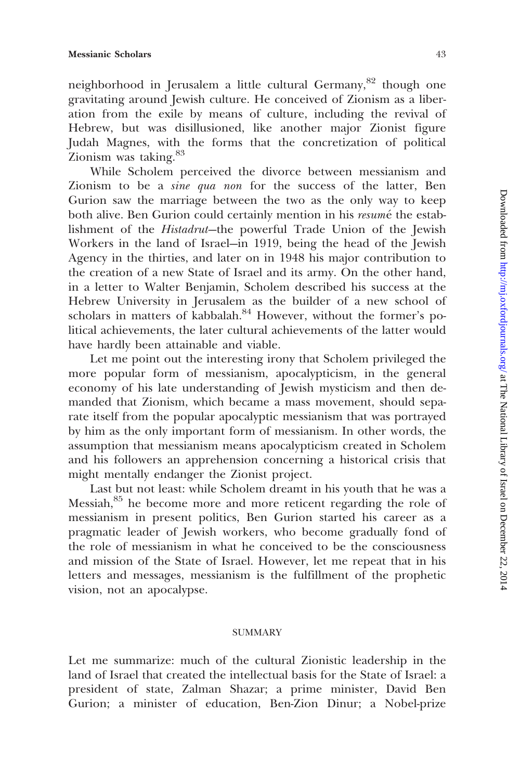neighborhood in Jerusalem a little cultural Germany,<sup>82</sup> though one gravitating around Jewish culture. He conceived of Zionism as a liberation from the exile by means of culture, including the revival of Hebrew, but was disillusioned, like another major Zionist figure Judah Magnes, with the forms that the concretization of political Zionism was taking.<sup>83</sup>

While Scholem perceived the divorce between messianism and Zionism to be a sine qua non for the success of the latter, Ben Gurion saw the marriage between the two as the only way to keep both alive. Ben Gurion could certainly mention in his resumé the establishment of the Histadrut—the powerful Trade Union of the Jewish Workers in the land of Israel—in 1919, being the head of the Jewish Agency in the thirties, and later on in 1948 his major contribution to the creation of a new State of Israel and its army. On the other hand, in a letter to Walter Benjamin, Scholem described his success at the Hebrew University in Jerusalem as the builder of a new school of scholars in matters of kabbalah.<sup>84</sup> However, without the former's political achievements, the later cultural achievements of the latter would have hardly been attainable and viable.

Let me point out the interesting irony that Scholem privileged the more popular form of messianism, apocalypticism, in the general economy of his late understanding of Jewish mysticism and then demanded that Zionism, which became a mass movement, should separate itself from the popular apocalyptic messianism that was portrayed by him as the only important form of messianism. In other words, the assumption that messianism means apocalypticism created in Scholem and his followers an apprehension concerning a historical crisis that might mentally endanger the Zionist project.

Last but not least: while Scholem dreamt in his youth that he was a Messiah,<sup>85</sup> he become more and more reticent regarding the role of messianism in present politics, Ben Gurion started his career as a pragmatic leader of Jewish workers, who become gradually fond of the role of messianism in what he conceived to be the consciousness and mission of the State of Israel. However, let me repeat that in his letters and messages, messianism is the fulfillment of the prophetic vision, not an apocalypse.

### **SUMMARY**

Let me summarize: much of the cultural Zionistic leadership in the land of Israel that created the intellectual basis for the State of Israel: a president of state, Zalman Shazar; a prime minister, David Ben Gurion; a minister of education, Ben-Zion Dinur; a Nobel-prize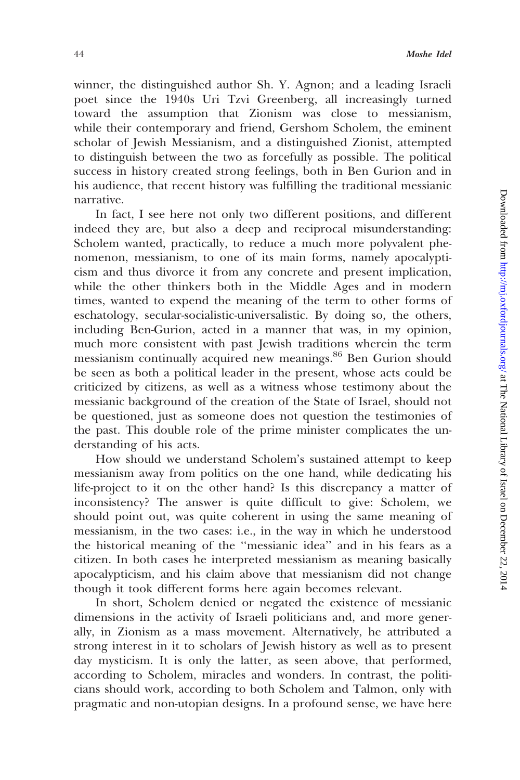winner, the distinguished author Sh. Y. Agnon; and a leading Israeli poet since the 1940s Uri Tzvi Greenberg, all increasingly turned toward the assumption that Zionism was close to messianism, while their contemporary and friend, Gershom Scholem, the eminent scholar of Jewish Messianism, and a distinguished Zionist, attempted to distinguish between the two as forcefully as possible. The political success in history created strong feelings, both in Ben Gurion and in his audience, that recent history was fulfilling the traditional messianic narrative.

In fact, I see here not only two different positions, and different indeed they are, but also a deep and reciprocal misunderstanding: Scholem wanted, practically, to reduce a much more polyvalent phenomenon, messianism, to one of its main forms, namely apocalypticism and thus divorce it from any concrete and present implication, while the other thinkers both in the Middle Ages and in modern times, wanted to expend the meaning of the term to other forms of eschatology, secular-socialistic-universalistic. By doing so, the others, including Ben-Gurion, acted in a manner that was, in my opinion, much more consistent with past Jewish traditions wherein the term messianism continually acquired new meanings.<sup>86</sup> Ben Gurion should be seen as both a political leader in the present, whose acts could be criticized by citizens, as well as a witness whose testimony about the messianic background of the creation of the State of Israel, should not be questioned, just as someone does not question the testimonies of the past. This double role of the prime minister complicates the understanding of his acts.

How should we understand Scholem's sustained attempt to keep messianism away from politics on the one hand, while dedicating his life-project to it on the other hand? Is this discrepancy a matter of inconsistency? The answer is quite difficult to give: Scholem, we should point out, was quite coherent in using the same meaning of messianism, in the two cases: i.e., in the way in which he understood the historical meaning of the ''messianic idea'' and in his fears as a citizen. In both cases he interpreted messianism as meaning basically apocalypticism, and his claim above that messianism did not change though it took different forms here again becomes relevant.

In short, Scholem denied or negated the existence of messianic dimensions in the activity of Israeli politicians and, and more generally, in Zionism as a mass movement. Alternatively, he attributed a strong interest in it to scholars of Jewish history as well as to present day mysticism. It is only the latter, as seen above, that performed, according to Scholem, miracles and wonders. In contrast, the politicians should work, according to both Scholem and Talmon, only with pragmatic and non-utopian designs. In a profound sense, we have here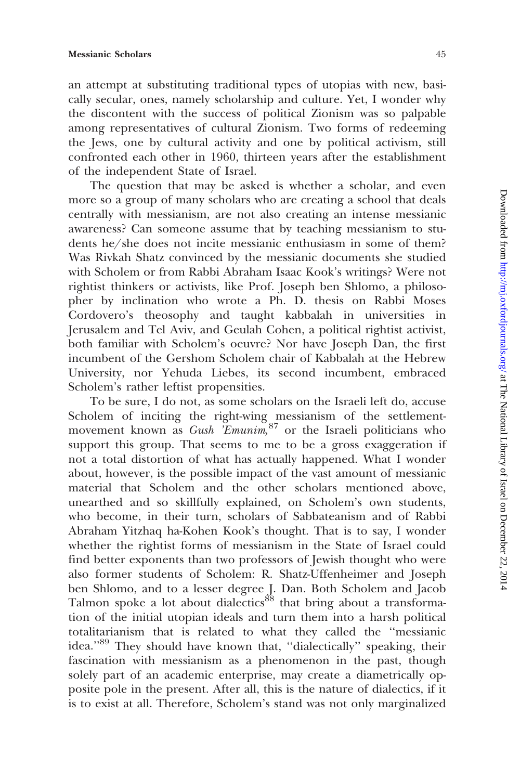an attempt at substituting traditional types of utopias with new, basically secular, ones, namely scholarship and culture. Yet, I wonder why the discontent with the success of political Zionism was so palpable among representatives of cultural Zionism. Two forms of redeeming the Jews, one by cultural activity and one by political activism, still confronted each other in 1960, thirteen years after the establishment of the independent State of Israel.

The question that may be asked is whether a scholar, and even more so a group of many scholars who are creating a school that deals centrally with messianism, are not also creating an intense messianic awareness? Can someone assume that by teaching messianism to students he/she does not incite messianic enthusiasm in some of them? Was Rivkah Shatz convinced by the messianic documents she studied with Scholem or from Rabbi Abraham Isaac Kook's writings? Were not rightist thinkers or activists, like Prof. Joseph ben Shlomo, a philosopher by inclination who wrote a Ph. D. thesis on Rabbi Moses Cordovero's theosophy and taught kabbalah in universities in Jerusalem and Tel Aviv, and Geulah Cohen, a political rightist activist, both familiar with Scholem's oeuvre? Nor have Joseph Dan, the first incumbent of the Gershom Scholem chair of Kabbalah at the Hebrew University, nor Yehuda Liebes, its second incumbent, embraced Scholem's rather leftist propensities.

To be sure, I do not, as some scholars on the Israeli left do, accuse Scholem of inciting the right-wing messianism of the settlementmovement known as Gush 'Emunim,<sup>87</sup> or the Israeli politicians who support this group. That seems to me to be a gross exaggeration if not a total distortion of what has actually happened. What I wonder about, however, is the possible impact of the vast amount of messianic material that Scholem and the other scholars mentioned above, unearthed and so skillfully explained, on Scholem's own students, who become, in their turn, scholars of Sabbateanism and of Rabbi Abraham Yitzhaq ha-Kohen Kook's thought. That is to say, I wonder whether the rightist forms of messianism in the State of Israel could find better exponents than two professors of Jewish thought who were also former students of Scholem: R. Shatz-Uffenheimer and Joseph ben Shlomo, and to a lesser degree J. Dan. Both Scholem and Jacob Talmon spoke a lot about dialectics ${}^{88}$  that bring about a transformation of the initial utopian ideals and turn them into a harsh political totalitarianism that is related to what they called the ''messianic idea."<sup>89</sup> They should have known that, "dialectically" speaking, their fascination with messianism as a phenomenon in the past, though solely part of an academic enterprise, may create a diametrically opposite pole in the present. After all, this is the nature of dialectics, if it is to exist at all. Therefore, Scholem's stand was not only marginalized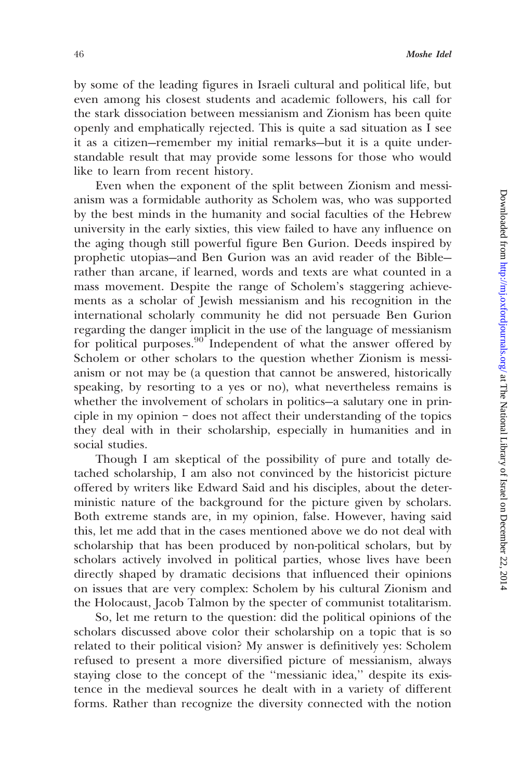by some of the leading figures in Israeli cultural and political life, but even among his closest students and academic followers, his call for the stark dissociation between messianism and Zionism has been quite openly and emphatically rejected. This is quite a sad situation as I see it as a citizen—remember my initial remarks—but it is a quite understandable result that may provide some lessons for those who would like to learn from recent history.

Even when the exponent of the split between Zionism and messianism was a formidable authority as Scholem was, who was supported by the best minds in the humanity and social faculties of the Hebrew university in the early sixties, this view failed to have any influence on the aging though still powerful figure Ben Gurion. Deeds inspired by prophetic utopias—and Ben Gurion was an avid reader of the Bible rather than arcane, if learned, words and texts are what counted in a mass movement. Despite the range of Scholem's staggering achievements as a scholar of Jewish messianism and his recognition in the international scholarly community he did not persuade Ben Gurion regarding the danger implicit in the use of the language of messianism for political purposes.<sup>90</sup> Independent of what the answer offered by Scholem or other scholars to the question whether Zionism is messianism or not may be (a question that cannot be answered, historically speaking, by resorting to a yes or no), what nevertheless remains is whether the involvement of scholars in politics—a salutary one in principle in my opinion – does not affect their understanding of the topics they deal with in their scholarship, especially in humanities and in social studies.

Though I am skeptical of the possibility of pure and totally detached scholarship, I am also not convinced by the historicist picture offered by writers like Edward Said and his disciples, about the deterministic nature of the background for the picture given by scholars. Both extreme stands are, in my opinion, false. However, having said this, let me add that in the cases mentioned above we do not deal with scholarship that has been produced by non-political scholars, but by scholars actively involved in political parties, whose lives have been directly shaped by dramatic decisions that influenced their opinions on issues that are very complex: Scholem by his cultural Zionism and the Holocaust, Jacob Talmon by the specter of communist totalitarism.

So, let me return to the question: did the political opinions of the scholars discussed above color their scholarship on a topic that is so related to their political vision? My answer is definitively yes: Scholem refused to present a more diversified picture of messianism, always staying close to the concept of the ''messianic idea,'' despite its existence in the medieval sources he dealt with in a variety of different forms. Rather than recognize the diversity connected with the notion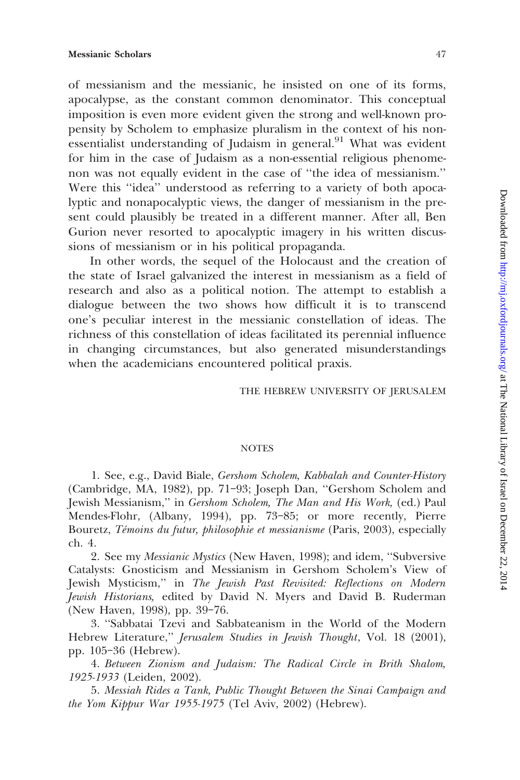#### Messianic Scholars 47

of messianism and the messianic, he insisted on one of its forms, apocalypse, as the constant common denominator. This conceptual imposition is even more evident given the strong and well-known propensity by Scholem to emphasize pluralism in the context of his nonessentialist understanding of Judaism in general.<sup>91</sup> What was evident for him in the case of Judaism as a non-essential religious phenomenon was not equally evident in the case of ''the idea of messianism.'' Were this ''idea'' understood as referring to a variety of both apocalyptic and nonapocalyptic views, the danger of messianism in the present could plausibly be treated in a different manner. After all, Ben Gurion never resorted to apocalyptic imagery in his written discussions of messianism or in his political propaganda.

In other words, the sequel of the Holocaust and the creation of the state of Israel galvanized the interest in messianism as a field of research and also as a political notion. The attempt to establish a dialogue between the two shows how difficult it is to transcend one's peculiar interest in the messianic constellation of ideas. The richness of this constellation of ideas facilitated its perennial influence in changing circumstances, but also generated misunderstandings when the academicians encountered political praxis.

## THE HEBREW UNIVERSITY OF JERUSALEM

#### **NOTES**

1. See, e.g., David Biale, Gershom Scholem, Kabbalah and Counter-History (Cambridge, MA, 1982), pp. 71–93; Joseph Dan, ''Gershom Scholem and Jewish Messianism,'' in Gershom Scholem, The Man and His Work, (ed.) Paul Mendes-Flohr, (Albany, 1994), pp. 73–85; or more recently, Pierre Bouretz, Témoins du futur, philosophie et messianisme (Paris, 2003), especially ch. 4.

2. See my Messianic Mystics (New Haven, 1998); and idem, ''Subversive Catalysts: Gnosticism and Messianism in Gershom Scholem's View of Jewish Mysticism,'' in The Jewish Past Revisited: Reflections on Modern Jewish Historians, edited by David N. Myers and David B. Ruderman (New Haven, 1998), pp. 39–76.

3. ''Sabbatai Tzevi and Sabbateanism in the World of the Modern Hebrew Literature,'' Jerusalem Studies in Jewish Thought, Vol. 18 (2001), pp. 105–36 (Hebrew).

4. Between Zionism and Judaism: The Radical Circle in Brith Shalom, 1925-1933 (Leiden, 2002).

5. Messiah Rides a Tank, Public Thought Between the Sinai Campaign and the Yom Kippur War 1955-1975 (Tel Aviv, 2002) (Hebrew).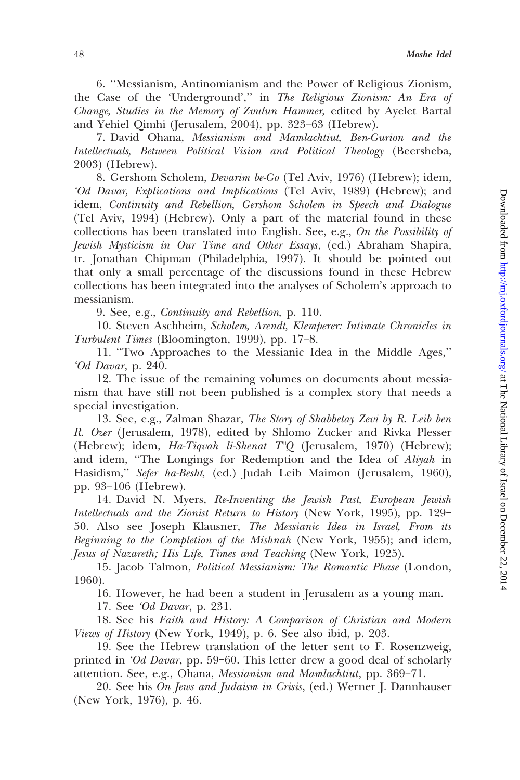6. ''Messianism, Antinomianism and the Power of Religious Zionism, the Case of the 'Underground','' in The Religious Zionism: An Era of Change, Studies in the Memory of Zvulun Hammer, edited by Ayelet Bartal and Yehiel Qimhi (Jerusalem, 2004), pp. 323–63 (Hebrew).

7. David Ohana, Messianism and Mamlachtiut, Ben-Gurion and the Intellectuals, Between Political Vision and Political Theology (Beersheba, 2003) (Hebrew).

8. Gershom Scholem, Devarim be-Go (Tel Aviv, 1976) (Hebrew); idem, 'Od Davar, Explications and Implications (Tel Aviv, 1989) (Hebrew); and idem, Continuity and Rebellion, Gershom Scholem in Speech and Dialogue (Tel Aviv, 1994) (Hebrew). Only a part of the material found in these collections has been translated into English. See, e.g., On the Possibility of Jewish Mysticism in Our Time and Other Essays, (ed.) Abraham Shapira, tr. Jonathan Chipman (Philadelphia, 1997). It should be pointed out that only a small percentage of the discussions found in these Hebrew collections has been integrated into the analyses of Scholem's approach to messianism.

9. See, e.g., Continuity and Rebellion, p. 110.

10. Steven Aschheim, Scholem, Arendt, Klemperer: Intimate Chronicles in Turbulent Times (Bloomington, 1999), pp. 17–8.

11. ''Two Approaches to the Messianic Idea in the Middle Ages,'' 'Od Davar, p. 240.

12. The issue of the remaining volumes on documents about messianism that have still not been published is a complex story that needs a special investigation.

13. See, e.g., Zalman Shazar, The Story of Shabbetay Zevi by R. Leib ben R. Ozer (Jerusalem, 1978), edited by Shlomo Zucker and Rivka Plesser (Hebrew); idem, Ha-Tiqvah li-Shenat T"Q (Jerusalem, 1970) (Hebrew); and idem, ''The Longings for Redemption and the Idea of Aliyah in Hasidism,'' Sefer ha-Besht, (ed.) Judah Leib Maimon (Jerusalem, 1960), pp. 93–106 (Hebrew).

14. David N. Myers, Re-Inventing the Jewish Past, European Jewish Intellectuals and the Zionist Return to History (New York, 1995), pp. 129– 50. Also see Joseph Klausner, The Messianic Idea in Israel, From its Beginning to the Completion of the Mishnah (New York, 1955); and idem, Jesus of Nazareth; His Life, Times and Teaching (New York, 1925).

15. Jacob Talmon, Political Messianism: The Romantic Phase (London, 1960).

16. However, he had been a student in Jerusalem as a young man.

17. See 'Od Davar, p. 231.

18. See his Faith and History: A Comparison of Christian and Modern Views of History (New York, 1949), p. 6. See also ibid, p. 203.

19. See the Hebrew translation of the letter sent to F. Rosenzweig, printed in 'Od Davar, pp. 59–60. This letter drew a good deal of scholarly attention. See, e.g., Ohana, Messianism and Mamlachtiut, pp. 369–71.

20. See his On Jews and Judaism in Crisis, (ed.) Werner J. Dannhauser (New York, 1976), p. 46.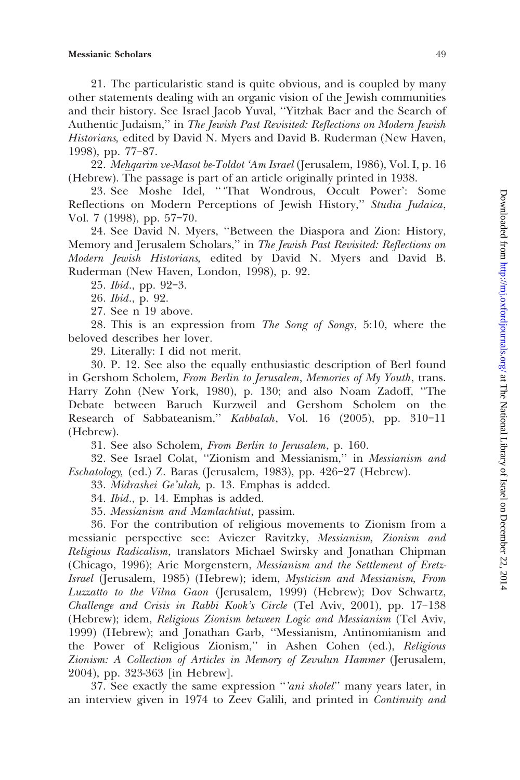#### Messianic Scholars 49

21. The particularistic stand is quite obvious, and is coupled by many other statements dealing with an organic vision of the Jewish communities and their history. See Israel Jacob Yuval, ''Yitzhak Baer and the Search of Authentic Judaism,'' in The Jewish Past Revisited: Reflections on Modern Jewish Historians, edited by David N. Myers and David B. Ruderman (New Haven, 1998), pp. 77–87.

22. Mehqarim ve-Masot be-Toldot 'Am Israel (Jerusalem, 1986), Vol. I, p. 16 (Hebrew). The passage is part of an article originally printed in 1938.

23. See Moshe Idel, '' 'That Wondrous, Occult Power': Some Reflections on Modern Perceptions of Jewish History," Studia Judaica, Vol. 7 (1998), pp. 57–70.

24. See David N. Myers, ''Between the Diaspora and Zion: History, Memory and Jerusalem Scholars,'' in The Jewish Past Revisited: Reflections on Modern Jewish Historians, edited by David N. Myers and David B. Ruderman (New Haven, London, 1998), p. 92.

25. Ibid., pp. 92–3.

26. Ibid., p. 92.

27. See n 19 above.

28. This is an expression from The Song of Songs, 5:10, where the beloved describes her lover.

29. Literally: I did not merit.

30. P. 12. See also the equally enthusiastic description of Berl found in Gershom Scholem, From Berlin to Jerusalem, Memories of My Youth, trans. Harry Zohn (New York, 1980), p. 130; and also Noam Zadoff, ''The Debate between Baruch Kurzweil and Gershom Scholem on the Research of Sabbateanism,'' Kabbalah, Vol. 16 (2005), pp. 310–11 (Hebrew).

31. See also Scholem, From Berlin to Jerusalem, p. 160.

32. See Israel Colat, ''Zionism and Messianism,'' in Messianism and Eschatology, (ed.) Z. Baras (Jerusalem, 1983), pp. 426–27 (Hebrew).

33. Midrashei Ge'ulah, p. 13. Emphas is added.

34. Ibid., p. 14. Emphas is added.

35. Messianism and Mamlachtiut, passim.

36. For the contribution of religious movements to Zionism from a messianic perspective see: Aviezer Ravitzky, Messianism, Zionism and Religious Radicalism, translators Michael Swirsky and Jonathan Chipman (Chicago, 1996); Arie Morgenstern, Messianism and the Settlement of Eretz-Israel (Jerusalem, 1985) (Hebrew); idem, Mysticism and Messianism, From Luzzatto to the Vilna Gaon (Jerusalem, 1999) (Hebrew); Dov Schwartz, Challenge and Crisis in Rabbi Kook's Circle (Tel Aviv, 2001), pp. 17–138 (Hebrew); idem, Religious Zionism between Logic and Messianism (Tel Aviv, 1999) (Hebrew); and Jonathan Garb, ''Messianism, Antinomianism and the Power of Religious Zionism,'' in Ashen Cohen (ed.), Religious Zionism: A Collection of Articles in Memory of Zevulun Hammer (Jerusalem, 2004), pp. 323-363 [in Hebrew].

37. See exactly the same expression '''ani sholel'' many years later, in an interview given in 1974 to Zeev Galili, and printed in Continuity and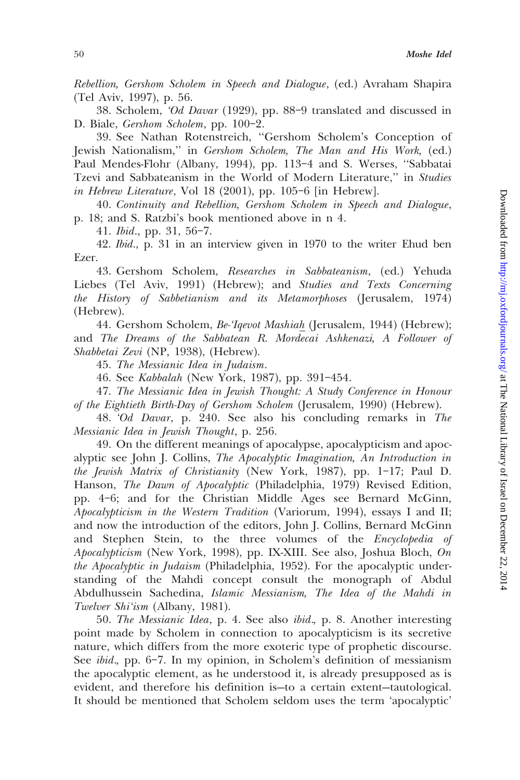Rebellion, Gershom Scholem in Speech and Dialogue, (ed.) Avraham Shapira (Tel Aviv, 1997), p. 56.

38. Scholem, 'Od Davar (1929), pp. 88–9 translated and discussed in D. Biale, Gershom Scholem, pp. 100–2.

39. See Nathan Rotenstreich, ''Gershom Scholem's Conception of Jewish Nationalism,'' in Gershom Scholem, The Man and His Work, (ed.) Paul Mendes-Flohr (Albany, 1994), pp. 113–4 and S. Werses, ''Sabbatai Tzevi and Sabbateanism in the World of Modern Literature," in Studies in Hebrew Literature, Vol 18 (2001), pp. 105–6 [in Hebrew].

40. Continuity and Rebellion, Gershom Scholem in Speech and Dialogue, p. 18; and S. Ratzbi's book mentioned above in n 4.

41. Ibid., pp. 31, 56–7.

42. Ibid., p. 31 in an interview given in 1970 to the writer Ehud ben Ezer.

43. Gershom Scholem, Researches in Sabbateanism, (ed.) Yehuda Liebes (Tel Aviv, 1991) (Hebrew); and Studies and Texts Concerning the History of Sabbetianism and its Metamorphoses (Jerusalem, 1974) (Hebrew).

44. Gershom Scholem, Be-'Iqevot Mashiah (Jerusalem, 1944) (Hebrew); and The Dreams of the Sabbatean R. Mordecai Ashkenazi, A Follower of Shabbetai Zevi (NP, 1938), (Hebrew).

45. The Messianic Idea in Judaism.

46. See Kabbalah (New York, 1987), pp. 391–454.

47. The Messianic Idea in Jewish Thought: A Study Conference in Honour of the Eightieth Birth-Day of Gershom Scholem (Jerusalem, 1990) (Hebrew).

48. 'Od Davar, p. 240. See also his concluding remarks in The Messianic Idea in Jewish Thought, p. 256.

49. On the different meanings of apocalypse, apocalypticism and apocalyptic see John J. Collins, The Apocalyptic Imagination, An Introduction in the Jewish Matrix of Christianity (New York, 1987), pp. 1–17; Paul D. Hanson, The Dawn of Apocalyptic (Philadelphia, 1979) Revised Edition, pp. 4–6; and for the Christian Middle Ages see Bernard McGinn, Apocalypticism in the Western Tradition (Variorum, 1994), essays I and II; and now the introduction of the editors, John J. Collins, Bernard McGinn and Stephen Stein, to the three volumes of the Encyclopedia of Apocalypticism (New York, 1998), pp. IX-XIII. See also, Joshua Bloch, On the Apocalyptic in Judaism (Philadelphia, 1952). For the apocalyptic understanding of the Mahdi concept consult the monograph of Abdul Abdulhussein Sachedina, Islamic Messianism, The Idea of the Mahdi in Twelver Shi'ism (Albany, 1981).

50. The Messianic Idea, p. 4. See also ibid., p. 8. Another interesting point made by Scholem in connection to apocalypticism is its secretive nature, which differs from the more exoteric type of prophetic discourse. See ibid., pp. 6–7. In my opinion, in Scholem's definition of messianism the apocalyptic element, as he understood it, is already presupposed as is evident, and therefore his definition is—to a certain extent—tautological. It should be mentioned that Scholem seldom uses the term 'apocalyptic'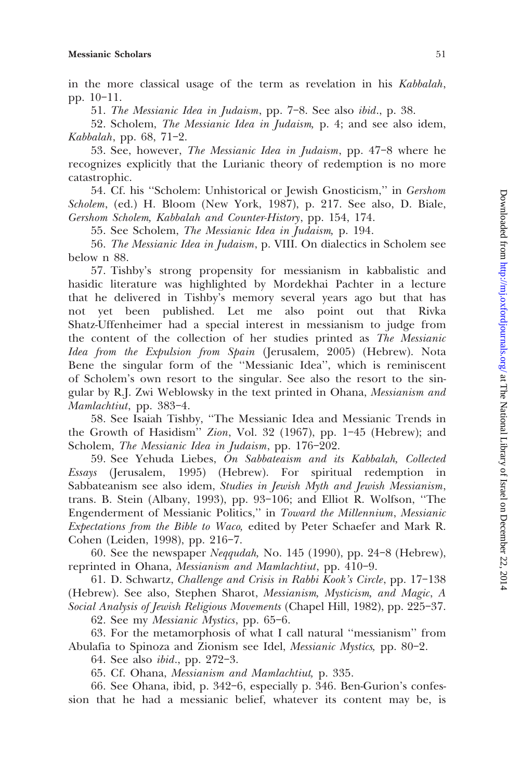#### Messianic Scholars 51

in the more classical usage of the term as revelation in his Kabbalah, pp. 10–11.

51. The Messianic Idea in Judaism, pp. 7–8. See also ibid., p. 38.

52. Scholem, The Messianic Idea in Judaism, p. 4; and see also idem, Kabbalah, pp. 68, 71–2.

53. See, however, The Messianic Idea in Judaism, pp. 47–8 where he recognizes explicitly that the Lurianic theory of redemption is no more catastrophic.

54. Cf. his ''Scholem: Unhistorical or Jewish Gnosticism,'' in Gershom Scholem, (ed.) H. Bloom (New York, 1987), p. 217. See also, D. Biale, Gershom Scholem, Kabbalah and Counter-History, pp. 154, 174.

55. See Scholem, The Messianic Idea in Judaism, p. 194.

56. The Messianic Idea in Judaism, p. VIII. On dialectics in Scholem see below n 88.

57. Tishby's strong propensity for messianism in kabbalistic and hasidic literature was highlighted by Mordekhai Pachter in a lecture that he delivered in Tishby's memory several years ago but that has not yet been published. Let me also point out that Rivka Shatz-Uffenheimer had a special interest in messianism to judge from the content of the collection of her studies printed as The Messianic Idea from the Expulsion from Spain (Jerusalem, 2005) (Hebrew). Nota Bene the singular form of the ''Messianic Idea'', which is reminiscent of Scholem's own resort to the singular. See also the resort to the singular by R.J. Zwi Weblowsky in the text printed in Ohana, Messianism and Mamlachtiut, pp. 383–4.

58. See Isaiah Tishby, ''The Messianic Idea and Messianic Trends in the Growth of Hasidism'' Zion, Vol. 32 (1967), pp. 1–45 (Hebrew); and Scholem, The Messianic Idea in Judaism, pp. 176–202.

59. See Yehuda Liebes, On Sabbateaism and its Kabbalah, Collected Essays (Jerusalem, 1995) (Hebrew). For spiritual redemption in Sabbateanism see also idem, Studies in Jewish Myth and Jewish Messianism, trans. B. Stein (Albany, 1993), pp. 93–106; and Elliot R. Wolfson, ''The Engenderment of Messianic Politics,'' in Toward the Millennium, Messianic Expectations from the Bible to Waco, edited by Peter Schaefer and Mark R. Cohen (Leiden, 1998), pp. 216–7.

60. See the newspaper Neqqudah, No. 145 (1990), pp. 24–8 (Hebrew), reprinted in Ohana, Messianism and Mamlachtiut, pp. 410–9.

61. D. Schwartz, Challenge and Crisis in Rabbi Kook's Circle, pp. 17–138 (Hebrew). See also, Stephen Sharot, Messianism, Mysticism, and Magic, A Social Analysis of Jewish Religious Movements (Chapel Hill, 1982), pp. 225–37.

62. See my Messianic Mystics, pp. 65–6.

63. For the metamorphosis of what I call natural ''messianism'' from Abulafia to Spinoza and Zionism see Idel, Messianic Mystics, pp. 80–2.

64. See also ibid., pp. 272–3.

65. Cf. Ohana, Messianism and Mamlachtiut, p. 335.

66. See Ohana, ibid, p. 342–6, especially p. 346. Ben-Gurion's confession that he had a messianic belief, whatever its content may be, is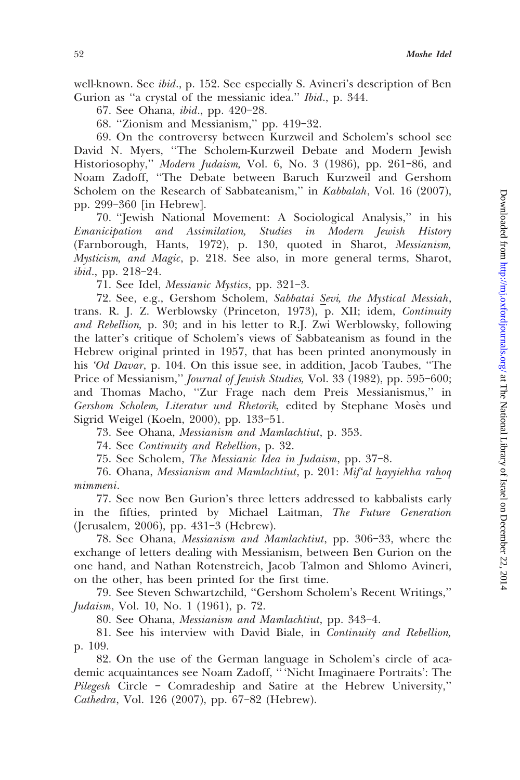well-known. See ibid., p. 152. See especially S. Avineri's description of Ben Gurion as ''a crystal of the messianic idea.'' Ibid., p. 344.

67. See Ohana, ibid., pp. 420–28.

68. ''Zionism and Messianism,'' pp. 419–32.

69. On the controversy between Kurzweil and Scholem's school see David N. Myers, ''The Scholem-Kurzweil Debate and Modern Jewish Historiosophy,'' Modern Judaism, Vol. 6, No. 3 (1986), pp. 261–86, and Noam Zadoff, ''The Debate between Baruch Kurzweil and Gershom Scholem on the Research of Sabbateanism," in Kabbalah, Vol. 16 (2007), pp. 299–360 [in Hebrew].

70. ''Jewish National Movement: A Sociological Analysis,'' in his Emanicipation and Assimilation, Studies in Modern Jewish History (Farnborough, Hants, 1972), p. 130, quoted in Sharot, Messianism, Mysticism, and Magic, p. 218. See also, in more general terms, Sharot, ibid., pp. 218–24.

71. See Idel, Messianic Mystics, pp. 321–3.

72. See, e.g., Gershom Scholem, Sabbatai Sevi, the Mystical Messiah, trans. R. J. Z. Werblowsky (Princeton, 1973), p. XII; idem, Continuity and Rebellion, p. 30; and in his letter to R.J. Zwi Werblowsky, following the latter's critique of Scholem's views of Sabbateanism as found in the Hebrew original printed in 1957, that has been printed anonymously in his 'Od Davar, p. 104. On this issue see, in addition, Jacob Taubes, ''The Price of Messianism," Journal of Jewish Studies, Vol. 33 (1982), pp. 595-600; and Thomas Macho, ''Zur Frage nach dem Preis Messianismus,'' in Gershom Scholem, Literatur und Rhetorik, edited by Stephane Mosès und Sigrid Weigel (Koeln, 2000), pp. 133–51.

73. See Ohana, Messianism and Mamlachtiut, p. 353.

74. See Continuity and Rebellion, p. 32.

75. See Scholem, The Messianic Idea in Judaism, pp. 37–8.

76. Ohana, Messianism and Mamlachtiut, p. 201: Mif'al hayyiekha rahoq mimmeni.

77. See now Ben Gurion's three letters addressed to kabbalists early in the fifties, printed by Michael Laitman, The Future Generation (Jerusalem, 2006), pp. 431–3 (Hebrew).

78. See Ohana, Messianism and Mamlachtiut, pp. 306–33, where the exchange of letters dealing with Messianism, between Ben Gurion on the one hand, and Nathan Rotenstreich, Jacob Talmon and Shlomo Avineri, on the other, has been printed for the first time.

79. See Steven Schwartzchild, ''Gershom Scholem's Recent Writings,'' Judaism, Vol. 10, No. 1 (1961), p. 72.

80. See Ohana, Messianism and Mamlachtiut, pp. 343–4.

81. See his interview with David Biale, in Continuity and Rebellion, p. 109.

82. On the use of the German language in Scholem's circle of academic acquaintances see Noam Zadoff, '' 'Nicht Imaginaere Portraits': The Pilegesh Circle - Comradeship and Satire at the Hebrew University," Cathedra, Vol. 126 (2007), pp. 67–82 (Hebrew).